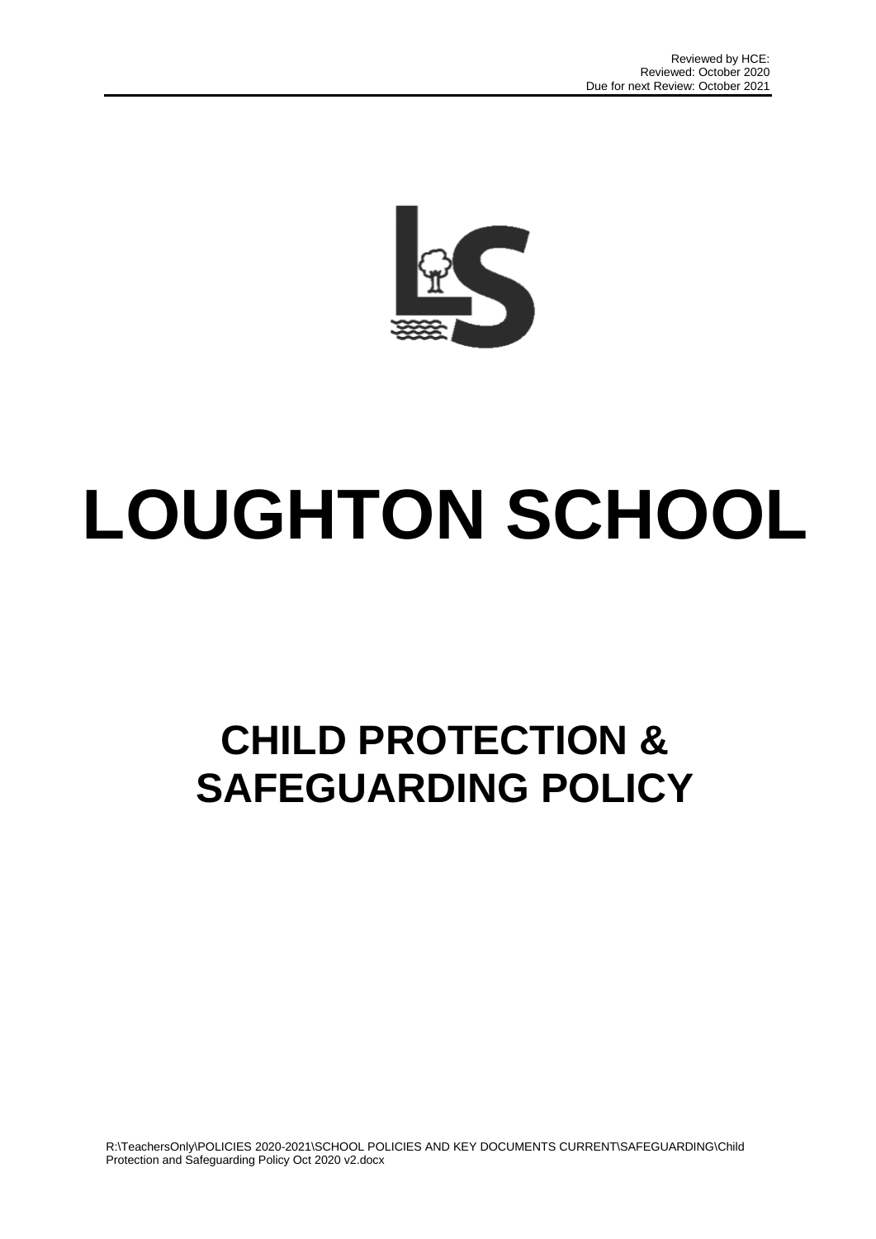

# **LOUGHTON SCHOOL**

# **CHILD PROTECTION & SAFEGUARDING POLICY**

R:\TeachersOnly\POLICIES 2020-2021\SCHOOL POLICIES AND KEY DOCUMENTS CURRENT\SAFEGUARDING\Child Protection and Safeguarding Policy Oct 2020 v2.docx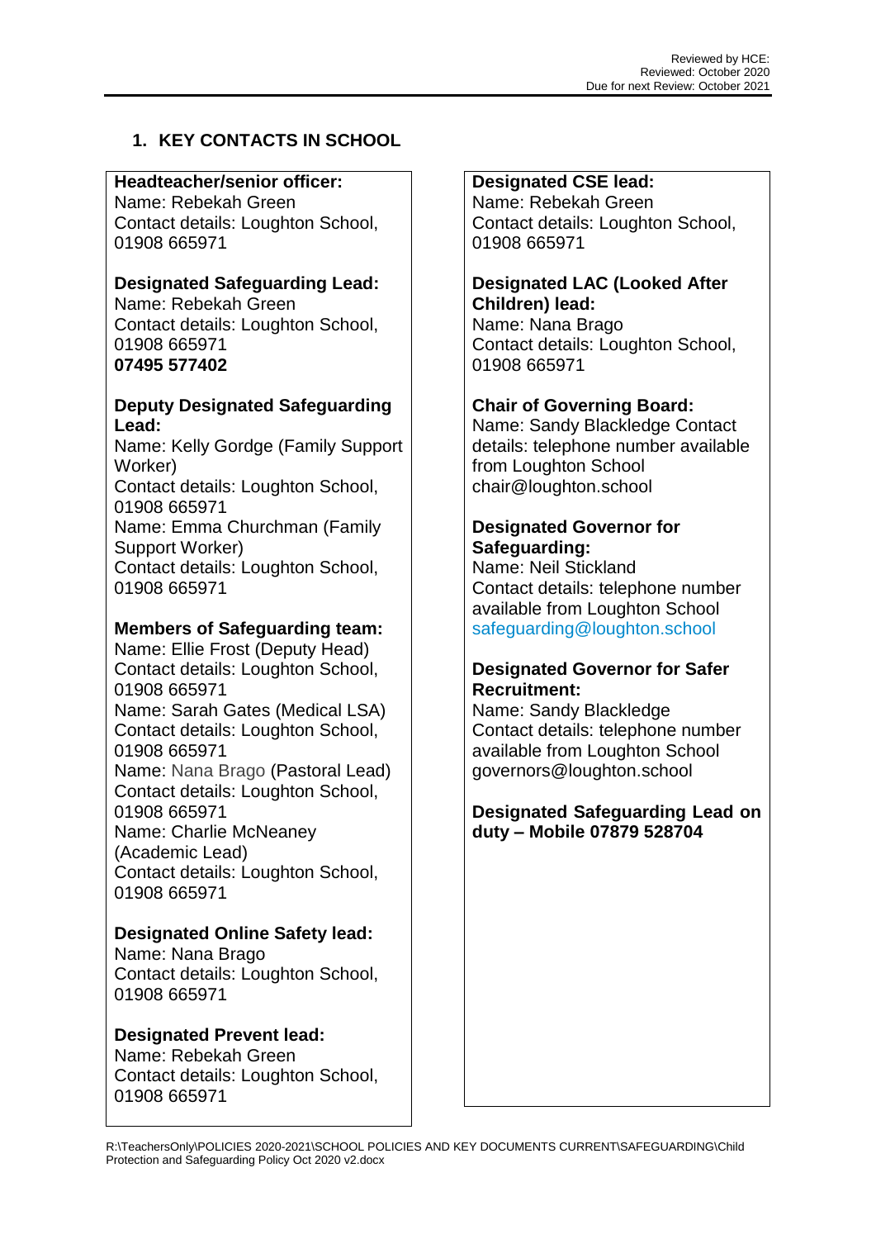# **1. KEY CONTACTS IN SCHOOL**

# **Headteacher/senior officer:**

Name: Rebekah Green Contact details: Loughton School, 01908 665971

# **Designated Safeguarding Lead:**

Name: Rebekah Green Contact details: Loughton School, 01908 665971 **07495 577402**

# **Deputy Designated Safeguarding Lead:**

Name: Kelly Gordge (Family Support Worker) Contact details: Loughton School, 01908 665971 Name: Emma Churchman (Family Support Worker) Contact details: Loughton School, 01908 665971

# **Members of Safeguarding team:**

Name: Ellie Frost (Deputy Head) Contact details: Loughton School, 01908 665971 Name: Sarah Gates (Medical LSA) Contact details: Loughton School, 01908 665971 Name: Nana Brago (Pastoral Lead) Contact details: Loughton School, 01908 665971 Name: Charlie McNeaney (Academic Lead) Contact details: Loughton School, 01908 665971

#### **Designated Online Safety lead:** Name: Nana Brago Contact details: Loughton School, 01908 665971

**Designated Prevent lead:** Name: Rebekah Green Contact details: Loughton School, 01908 665971

# **Designated CSE lead:**

Name: Rebekah Green Contact details: Loughton School, 01908 665971

# **Designated LAC (Looked After Children) lead:**

Name: Nana Brago Contact details: Loughton School, 01908 665971

# **Chair of Governing Board:**

Name: Sandy Blackledge Contact details: telephone number available from Loughton School chair@loughton.school

# **Designated Governor for Safeguarding:**

Name: Neil Stickland Contact details: telephone number available from Loughton School [safeguarding@loughton.school](mailto:safeguarding@loughton.school)

# **Designated Governor for Safer Recruitment:**

Name: Sandy Blackledge Contact details: telephone number available from Loughton School governors@loughton.school

# **Designated Safeguarding Lead on duty – Mobile 07879 528704**

R:\TeachersOnly\POLICIES 2020-2021\SCHOOL POLICIES AND KEY DOCUMENTS CURRENT\SAFEGUARDING\Child Protection and Safeguarding Policy Oct 2020 v2.docx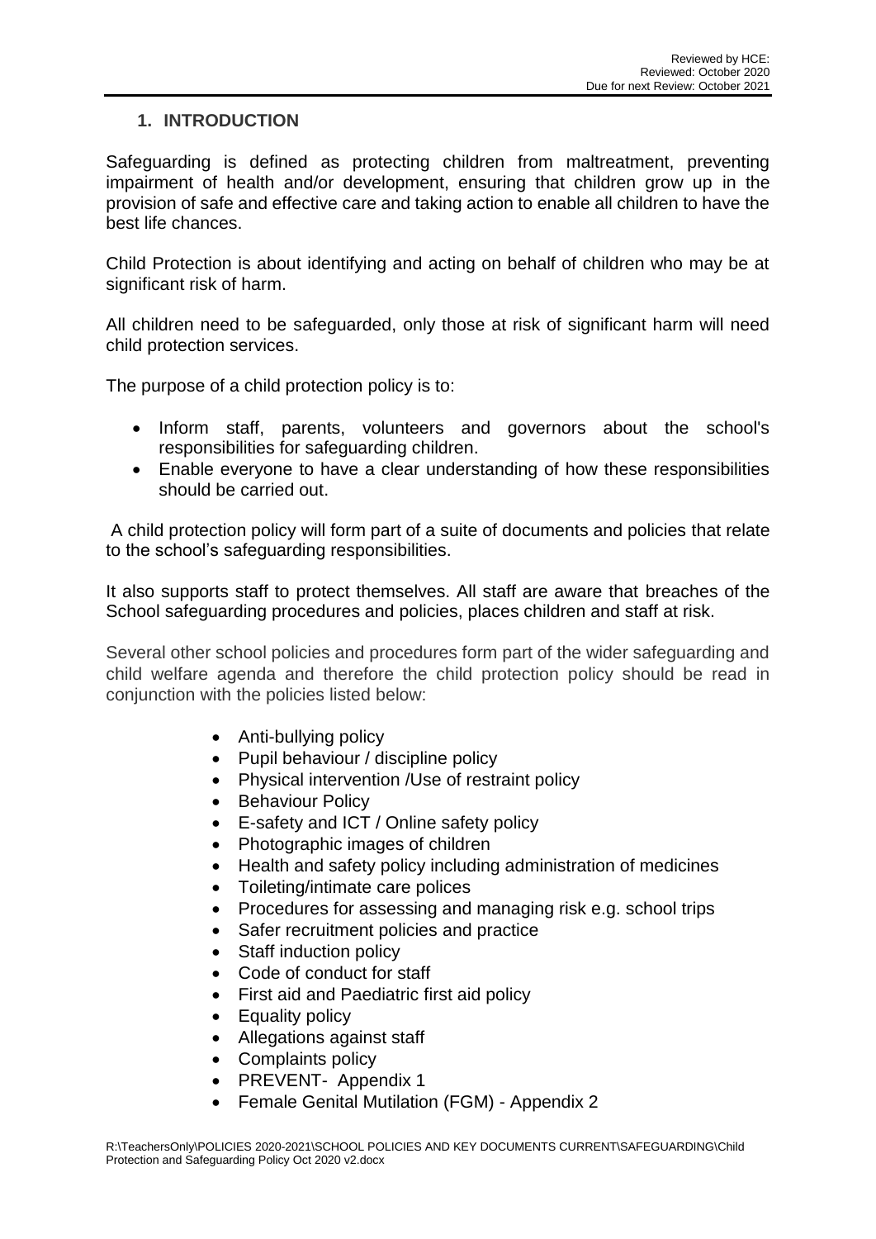# **1. INTRODUCTION**

Safeguarding is defined as protecting children from maltreatment, preventing impairment of health and/or development, ensuring that children grow up in the provision of safe and effective care and taking action to enable all children to have the best life chances.

Child Protection is about identifying and acting on behalf of children who may be at significant risk of harm.

All children need to be safeguarded, only those at risk of significant harm will need child protection services.

The purpose of a child protection policy is to:

- Inform staff, parents, volunteers and governors about the school's responsibilities for safeguarding children.
- Enable everyone to have a clear understanding of how these responsibilities should be carried out.

A child protection policy will form part of a suite of documents and policies that relate to the school's safeguarding responsibilities.

It also supports staff to protect themselves. All staff are aware that breaches of the School safeguarding procedures and policies, places children and staff at risk.

Several other school policies and procedures form part of the wider safeguarding and child welfare agenda and therefore the child protection policy should be read in conjunction with the policies listed below:

- Anti-bullying policy
- Pupil behaviour / discipline policy
- Physical intervention /Use of restraint policy
- Behaviour Policy
- E-safety and ICT / Online safety policy
- Photographic images of children
- Health and safety policy including administration of medicines
- Toileting/intimate care polices
- Procedures for assessing and managing risk e.g. school trips
- Safer recruitment policies and practice
- Staff induction policy
- Code of conduct for staff
- First aid and Paediatric first aid policy
- Equality policy
- Allegations against staff
- Complaints policy
- PREVENT- Appendix 1
- Female Genital Mutilation (FGM) Appendix 2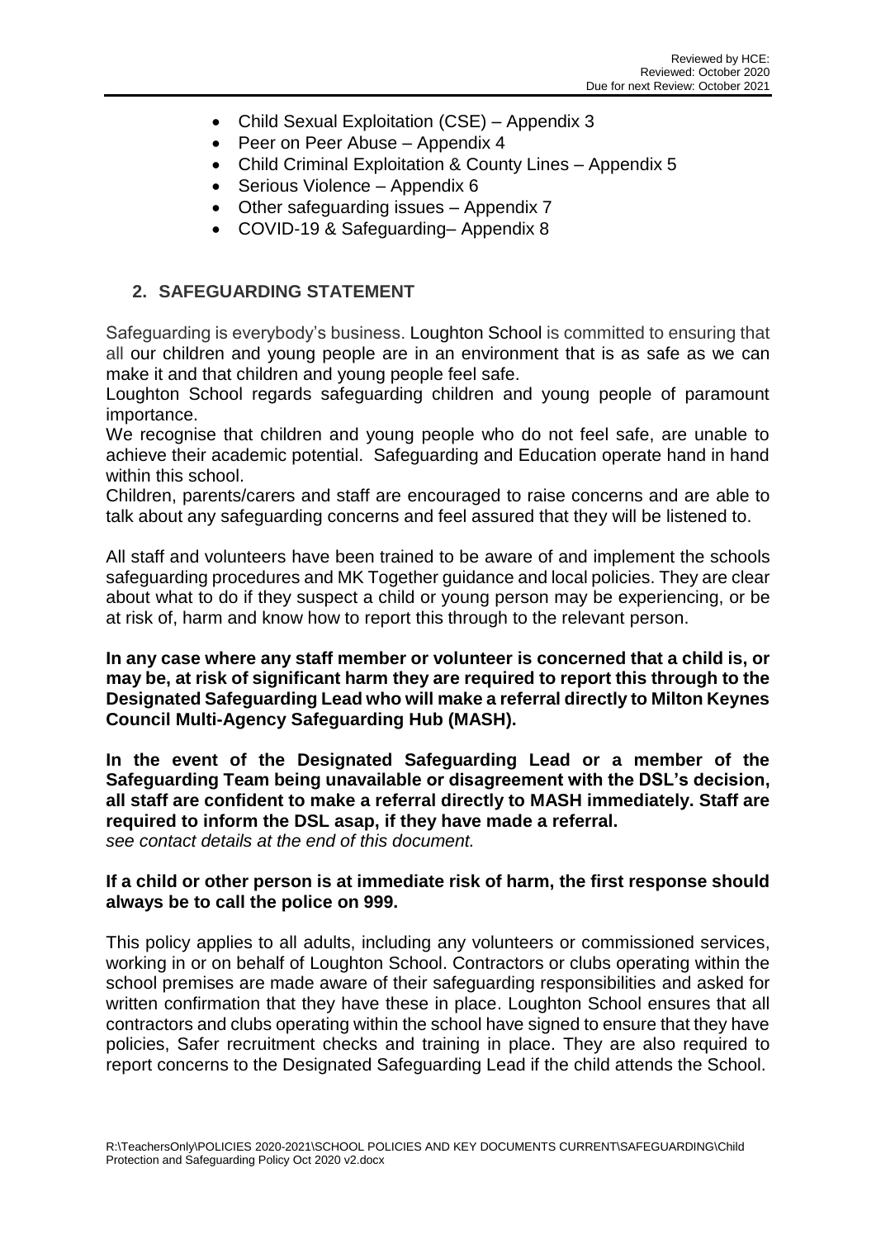- Child Sexual Exploitation (CSE) Appendix 3
- Peer on Peer Abuse Appendix 4
- Child Criminal Exploitation & County Lines Appendix 5
- Serious Violence Appendix 6
- Other safeguarding issues Appendix 7
- COVID-19 & Safeguarding– Appendix 8

# **2. SAFEGUARDING STATEMENT**

Safeguarding is everybody's business. Loughton School is committed to ensuring that all our children and young people are in an environment that is as safe as we can make it and that children and young people feel safe.

Loughton School regards safeguarding children and young people of paramount importance.

We recognise that children and young people who do not feel safe, are unable to achieve their academic potential. Safeguarding and Education operate hand in hand within this school.

Children, parents/carers and staff are encouraged to raise concerns and are able to talk about any safeguarding concerns and feel assured that they will be listened to.

All staff and volunteers have been trained to be aware of and implement the schools safeguarding procedures and MK Together guidance and local policies. They are clear about what to do if they suspect a child or young person may be experiencing, or be at risk of, harm and know how to report this through to the relevant person.

**In any case where any staff member or volunteer is concerned that a child is, or may be, at risk of significant harm they are required to report this through to the Designated Safeguarding Lead who will make a referral directly to Milton Keynes Council Multi-Agency Safeguarding Hub (MASH).** 

**In the event of the Designated Safeguarding Lead or a member of the Safeguarding Team being unavailable or disagreement with the DSL's decision, all staff are confident to make a referral directly to MASH immediately. Staff are required to inform the DSL asap, if they have made a referral.** *see contact details at the end of this document.*

# **If a child or other person is at immediate risk of harm, the first response should always be to call the police on 999.**

This policy applies to all adults, including any volunteers or commissioned services, working in or on behalf of Loughton School. Contractors or clubs operating within the school premises are made aware of their safeguarding responsibilities and asked for written confirmation that they have these in place. Loughton School ensures that all contractors and clubs operating within the school have signed to ensure that they have policies, Safer recruitment checks and training in place. They are also required to report concerns to the Designated Safeguarding Lead if the child attends the School.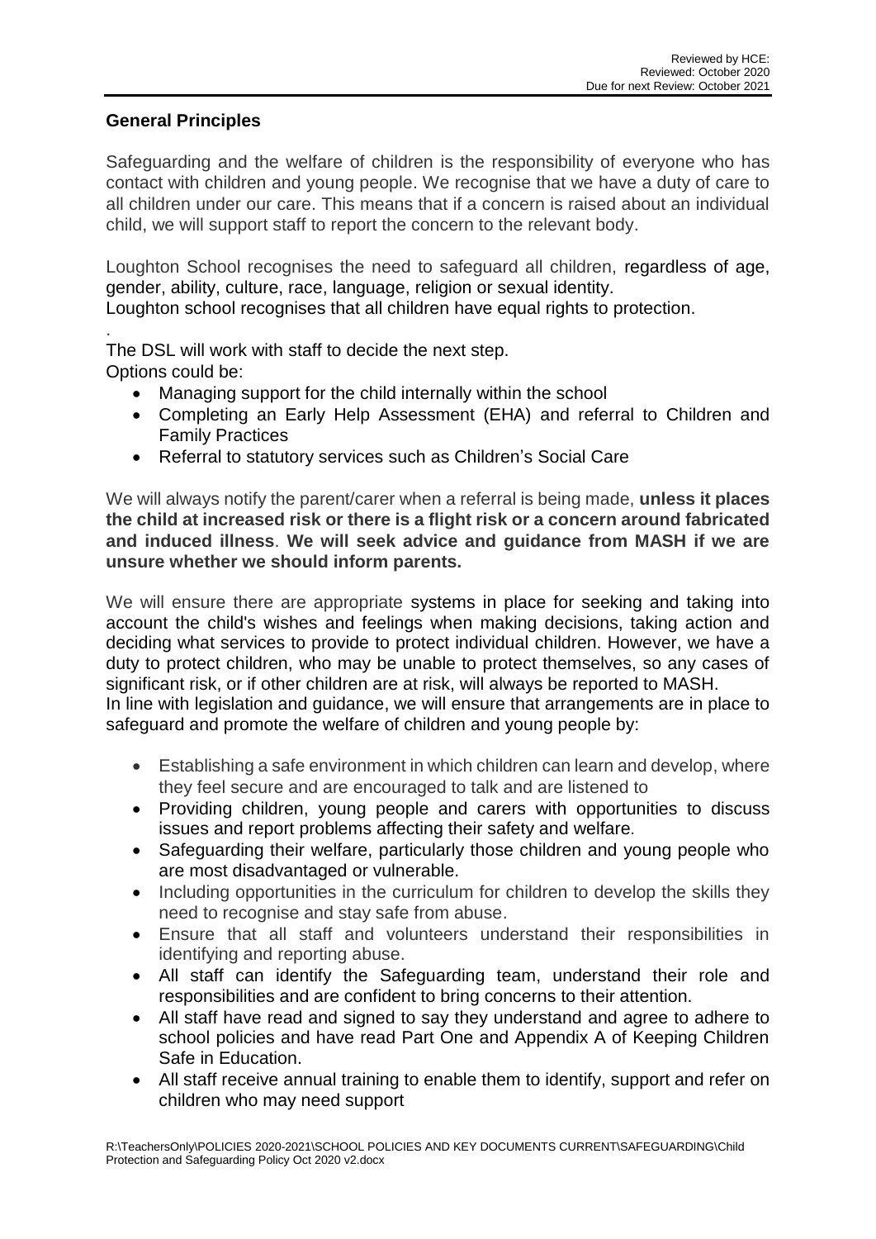# **General Principles**

Safeguarding and the welfare of children is the responsibility of everyone who has contact with children and young people. We recognise that we have a duty of care to all children under our care. This means that if a concern is raised about an individual child, we will support staff to report the concern to the relevant body.

Loughton School recognises the need to safeguard all children, regardless of age, gender, ability, culture, race, language, religion or sexual identity.

Loughton school recognises that all children have equal rights to protection.

. The DSL will work with staff to decide the next step.

Options could be:

- Managing support for the child internally within the school
- Completing an Early Help Assessment (EHA) and referral to Children and Family Practices
- Referral to statutory services such as Children's Social Care

We will always notify the parent/carer when a referral is being made, **unless it places the child at increased risk or there is a flight risk or a concern around fabricated and induced illness**. **We will seek advice and guidance from MASH if we are unsure whether we should inform parents.**

We will ensure there are appropriate systems in place for seeking and taking into account the child's wishes and feelings when making decisions, taking action and deciding what services to provide to protect individual children. However, we have a duty to protect children, who may be unable to protect themselves, so any cases of significant risk, or if other children are at risk, will always be reported to MASH.

In line with legislation and guidance, we will ensure that arrangements are in place to safeguard and promote the welfare of children and young people by:

- Establishing a safe environment in which children can learn and develop, where they feel secure and are encouraged to talk and are listened to
- Providing children, young people and carers with opportunities to discuss issues and report problems affecting their safety and welfare*.*
- Safeguarding their welfare, particularly those children and young people who are most disadvantaged or vulnerable.
- Including opportunities in the curriculum for children to develop the skills they need to recognise and stay safe from abuse.
- Ensure that all staff and volunteers understand their responsibilities in identifying and reporting abuse.
- All staff can identify the Safeguarding team, understand their role and responsibilities and are confident to bring concerns to their attention.
- All staff have read and signed to say they understand and agree to adhere to school policies and have read Part One and Appendix A of Keeping Children Safe in Education.
- All staff receive annual training to enable them to identify, support and refer on children who may need support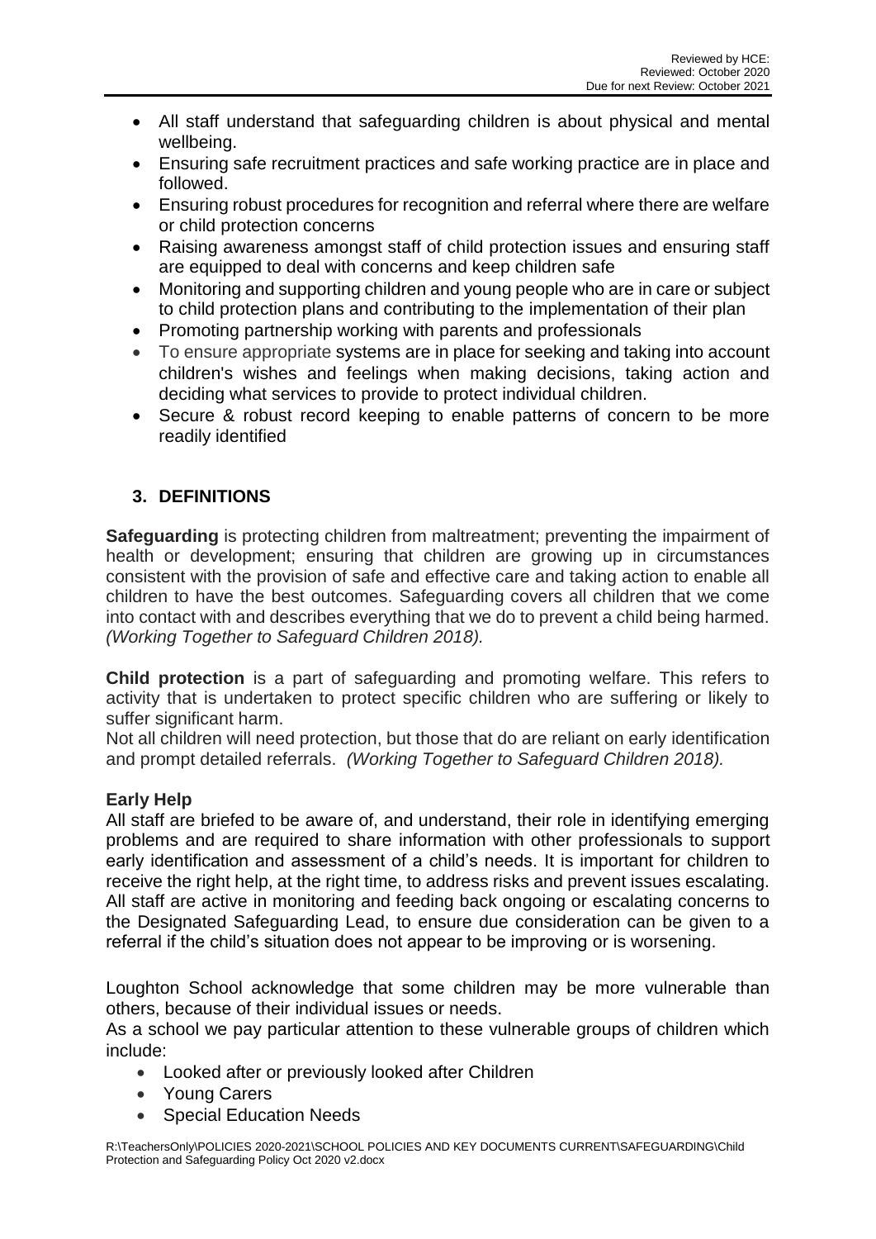- All staff understand that safeguarding children is about physical and mental wellbeing.
- Ensuring safe recruitment practices and safe working practice are in place and followed.
- Ensuring robust procedures for recognition and referral where there are welfare or child protection concerns
- Raising awareness amongst staff of child protection issues and ensuring staff are equipped to deal with concerns and keep children safe
- Monitoring and supporting children and young people who are in care or subject to child protection plans and contributing to the implementation of their plan
- Promoting partnership working with parents and professionals
- To ensure appropriate systems are in place for seeking and taking into account children's wishes and feelings when making decisions, taking action and deciding what services to provide to protect individual children.
- Secure & robust record keeping to enable patterns of concern to be more readily identified

# **3. DEFINITIONS**

**Safeguarding** is protecting children from maltreatment; preventing the impairment of health or development; ensuring that children are growing up in circumstances consistent with the provision of safe and effective care and taking action to enable all children to have the best outcomes. Safeguarding covers all children that we come into contact with and describes everything that we do to prevent a child being harmed. *(Working Together to Safeguard Children 2018).*

**Child protection** is a part of safeguarding and promoting welfare. This refers to activity that is undertaken to protect specific children who are suffering or likely to suffer significant harm.

Not all children will need protection, but those that do are reliant on early identification and prompt detailed referrals. *(Working Together to Safeguard Children 2018).*

# **Early Help**

All staff are briefed to be aware of, and understand, their role in identifying emerging problems and are required to share information with other professionals to support early identification and assessment of a child's needs. It is important for children to receive the right help, at the right time, to address risks and prevent issues escalating. All staff are active in monitoring and feeding back ongoing or escalating concerns to the Designated Safeguarding Lead, to ensure due consideration can be given to a referral if the child's situation does not appear to be improving or is worsening.

Loughton School acknowledge that some children may be more vulnerable than others, because of their individual issues or needs.

As a school we pay particular attention to these vulnerable groups of children which include:

- Looked after or previously looked after Children
- Young Carers
- Special Education Needs

R:\TeachersOnly\POLICIES 2020-2021\SCHOOL POLICIES AND KEY DOCUMENTS CURRENT\SAFEGUARDING\Child Protection and Safeguarding Policy Oct 2020 v2.docx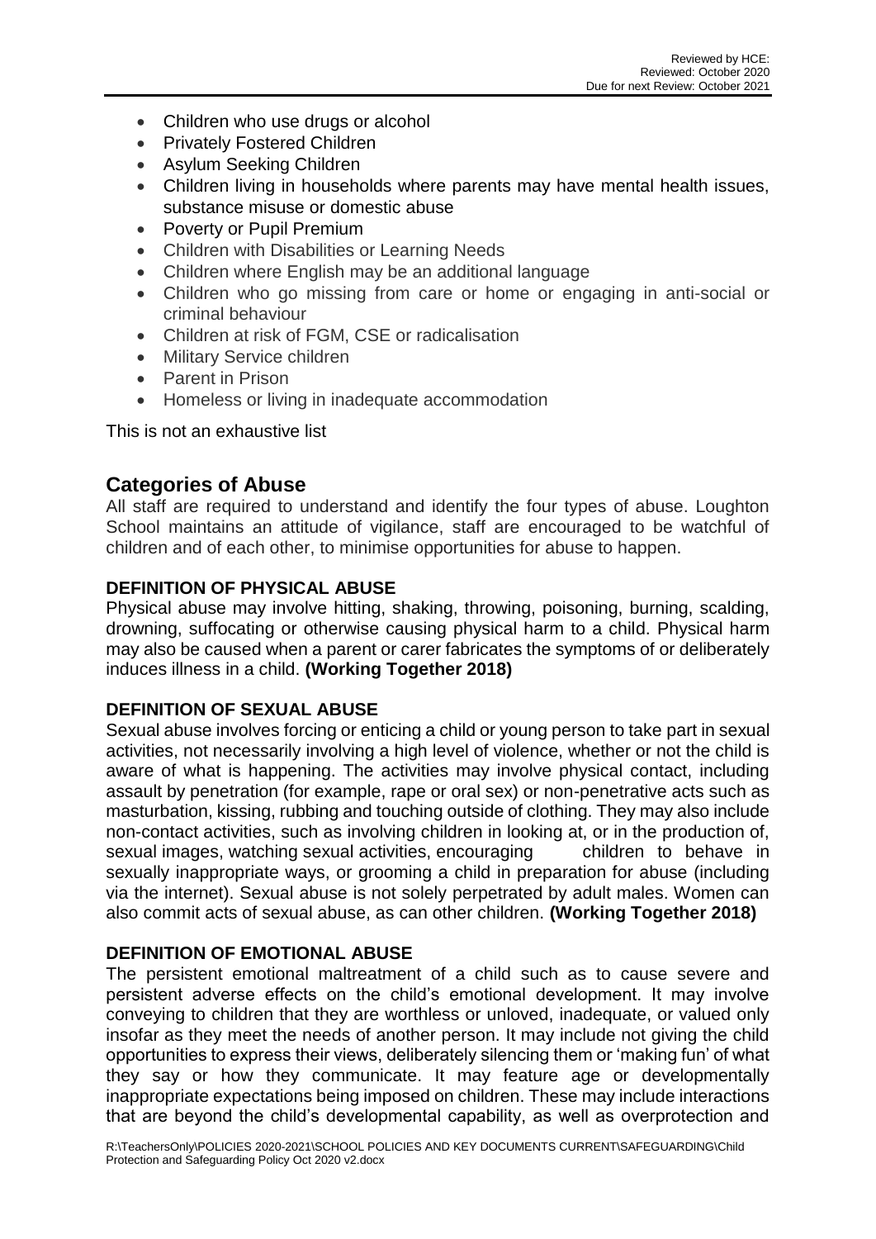- Children who use drugs or alcohol
- Privately Fostered Children
- Asylum Seeking Children
- Children living in households where parents may have mental health issues, substance misuse or domestic abuse
- Poverty or Pupil Premium
- Children with Disabilities or Learning Needs
- Children where English may be an additional language
- Children who go missing from care or home or engaging in anti-social or criminal behaviour
- Children at risk of FGM, CSE or radicalisation
- Military Service children
- Parent in Prison
- Homeless or living in inadequate accommodation

This is not an exhaustive list

# **Categories of Abuse**

All staff are required to understand and identify the four types of abuse. Loughton School maintains an attitude of vigilance, staff are encouraged to be watchful of children and of each other, to minimise opportunities for abuse to happen.

# **DEFINITION OF PHYSICAL ABUSE**

Physical abuse may involve hitting, shaking, throwing, poisoning, burning, scalding, drowning, suffocating or otherwise causing physical harm to a child. Physical harm may also be caused when a parent or carer fabricates the symptoms of or deliberately induces illness in a child. **(Working Together 2018)**

# **DEFINITION OF SEXUAL ABUSE**

Sexual abuse involves forcing or enticing a child or young person to take part in sexual activities, not necessarily involving a high level of violence, whether or not the child is aware of what is happening. The activities may involve physical contact, including assault by penetration (for example, rape or oral sex) or non-penetrative acts such as masturbation, kissing, rubbing and touching outside of clothing. They may also include non-contact activities, such as involving children in looking at, or in the production of, sexual images, watching sexual activities, encouraging children to behave in sexually inappropriate ways, or grooming a child in preparation for abuse (including via the internet). Sexual abuse is not solely perpetrated by adult males. Women can also commit acts of sexual abuse, as can other children. **(Working Together 2018)**

# **DEFINITION OF EMOTIONAL ABUSE**

The persistent emotional maltreatment of a child such as to cause severe and persistent adverse effects on the child's emotional development. It may involve conveying to children that they are worthless or unloved, inadequate, or valued only insofar as they meet the needs of another person. It may include not giving the child opportunities to express their views, deliberately silencing them or 'making fun' of what they say or how they communicate. It may feature age or developmentally inappropriate expectations being imposed on children. These may include interactions that are beyond the child's developmental capability, as well as overprotection and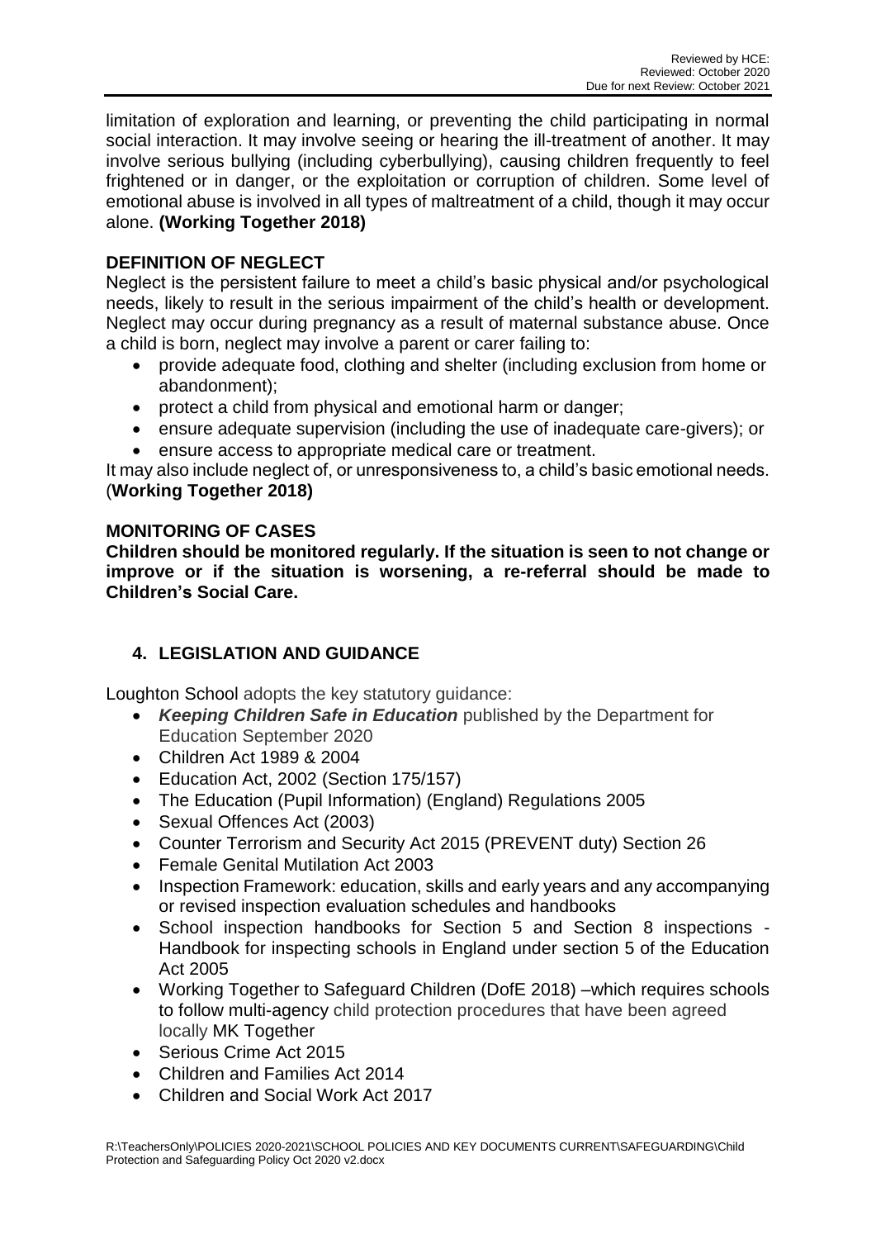limitation of exploration and learning, or preventing the child participating in normal social interaction. It may involve seeing or hearing the ill-treatment of another. It may involve serious bullying (including cyberbullying), causing children frequently to feel frightened or in danger, or the exploitation or corruption of children. Some level of emotional abuse is involved in all types of maltreatment of a child, though it may occur alone. **(Working Together 2018)**

# **DEFINITION OF NEGLECT**

Neglect is the persistent failure to meet a child's basic physical and/or psychological needs, likely to result in the serious impairment of the child's health or development. Neglect may occur during pregnancy as a result of maternal substance abuse. Once a child is born, neglect may involve a parent or carer failing to:

- provide adequate food, clothing and shelter (including exclusion from home or abandonment);
- protect a child from physical and emotional harm or danger;
- ensure adequate supervision (including the use of inadequate care-givers); or
- ensure access to appropriate medical care or treatment.

It may also include neglect of, or unresponsiveness to, a child's basic emotional needs. (**Working Together 2018)**

# **MONITORING OF CASES**

**Children should be monitored regularly. If the situation is seen to not change or improve or if the situation is worsening, a re-referral should be made to Children's Social Care.**

# **4. LEGISLATION AND GUIDANCE**

Loughton School adopts the key statutory guidance:

- *Keeping Children Safe in Education* published by the Department for Education September 2020
- Children Act 1989 & 2004
- Education Act, 2002 (Section 175/157)
- The Education (Pupil Information) (England) Regulations 2005
- Sexual Offences Act (2003)
- Counter Terrorism and Security Act 2015 (PREVENT duty) Section 26
- Female Genital Mutilation Act 2003
- Inspection Framework: education, skills and early years and any accompanying or revised inspection evaluation schedules and handbooks
- School inspection handbooks for Section 5 and Section 8 inspections Handbook for inspecting schools in England under section 5 of the Education Act 2005
- Working Together to Safeguard Children (DofE 2018) –which requires schools to follow multi-agency child protection procedures that have been agreed locally MK Together
- Serious Crime Act 2015
- Children and Families Act 2014
- Children and Social Work Act 2017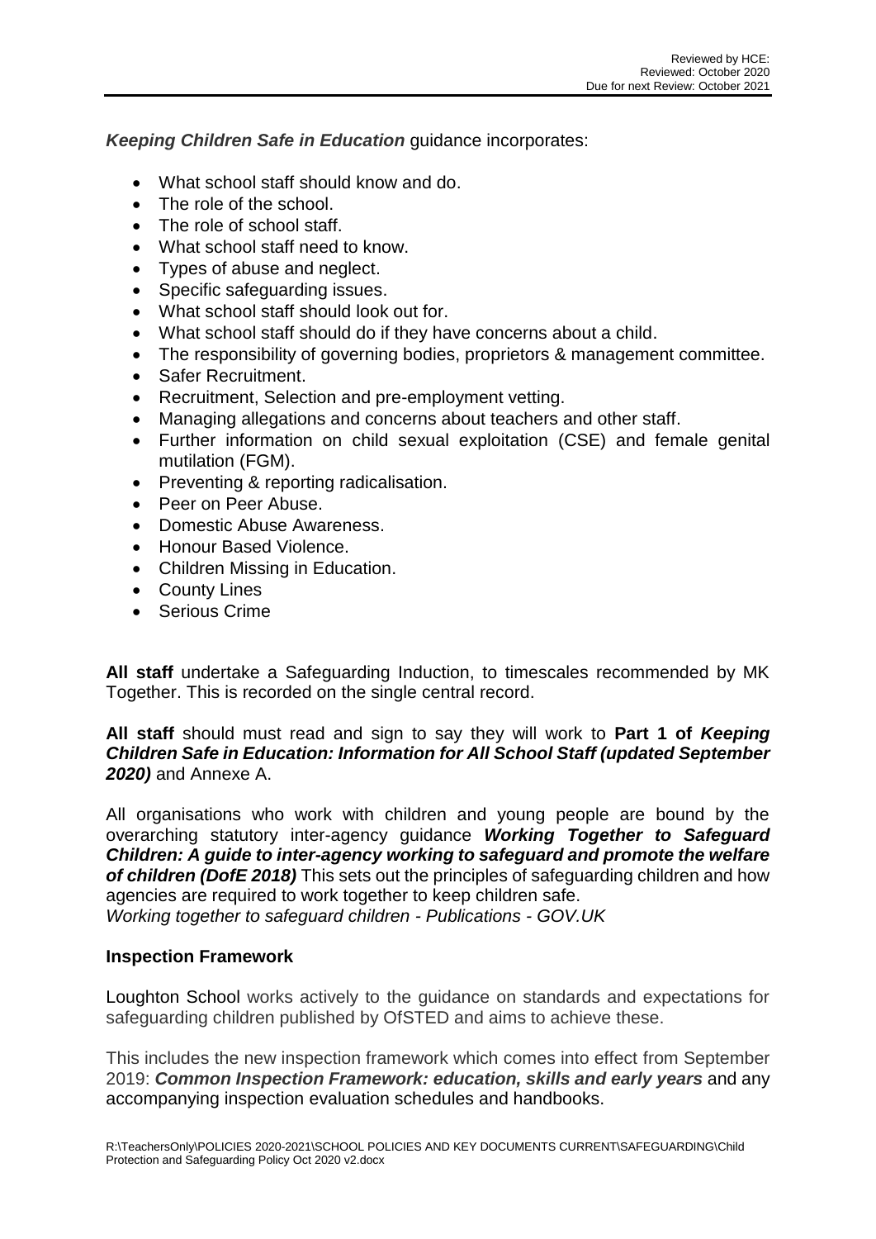*Keeping Children Safe in Education* guidance incorporates:

- What school staff should know and do.
- The role of the school.
- The role of school staff.
- What school staff need to know.
- Types of abuse and neglect.
- Specific safeguarding issues.
- What school staff should look out for.
- What school staff should do if they have concerns about a child.
- The responsibility of governing bodies, proprietors & management committee.
- Safer Recruitment.
- Recruitment, Selection and pre-employment vetting.
- Managing allegations and concerns about teachers and other staff.
- Further information on child sexual exploitation (CSE) and female genital mutilation (FGM).
- Preventing & reporting radicalisation.
- Peer on Peer Abuse.
- Domestic Abuse Awareness.
- Honour Based Violence.
- Children Missing in Education.
- County Lines
- Serious Crime

**All staff** undertake a Safeguarding Induction, to timescales recommended by MK Together. This is recorded on the single central record.

**All staff** should must read and sign to say they will work to **Part 1 of** *Keeping Children Safe in Education: Information for All School Staff (updated September 2020)* and Annexe A.

All organisations who work with children and young people are bound by the overarching statutory inter-agency guidance *Working Together to Safeguard Children: A guide to inter-agency working to safeguard and promote the welfare of children (DofE 2018)* This sets out the principles of safeguarding children and how agencies are required to work together to keep children safe. *[Working together to safeguard children -](https://www.gov.uk/government/publications/working-together-to-safeguard-children--2) Publications - GOV.UK*

# **Inspection Framework**

Loughton School works actively to the guidance on standards and expectations for safeguarding children published by OfSTED and aims to achieve these.

This includes the new inspection framework which comes into effect from September 2019: *Common Inspection Framework: education, skills and early years* and any accompanying inspection evaluation schedules and handbooks.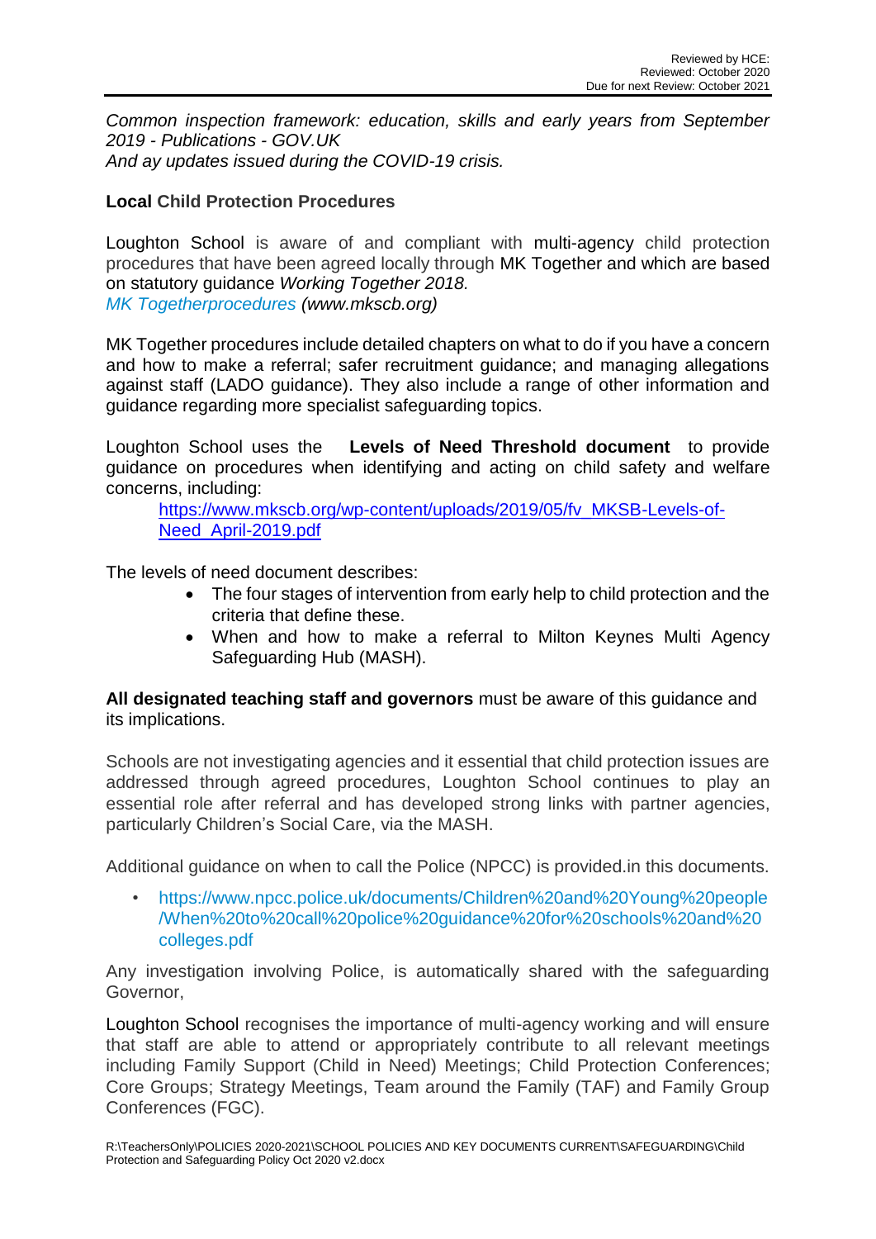*[Common inspection framework: education, skills and](https://www.gov.uk/government/publications/common-inspection-framework-education-skills-and-early-years-from-september-2015) early years from September 2019 - [Publications -](https://www.gov.uk/government/publications/common-inspection-framework-education-skills-and-early-years-from-september-2015) GOV.UK And ay updates issued during the COVID-19 crisis.*

# **Local Child Protection Procedures**

Loughton School is aware of and compliant with multi-agency child protection procedures that have been agreed locally through MK Together and which are based on statutory guidance *Working Together 2018. MK Togetherprocedures (www.mkscb.org)*

MK Together procedures include detailed chapters on what to do if you have a concern and how to make a referral; safer recruitment guidance; and managing allegations against staff (LADO guidance). They also include a range of other information and guidance regarding more specialist safeguarding topics.

Loughton School uses the **[Levels of Need](http://www.mkscb.org/wp-content/uploads/2016/04/MKSCB-Levels-of-Need-updated-July-2016-FINAL-DOCUMENT.pdf) Threshold document** to provide guidance on procedures when identifying and acting on child safety and welfare concerns, including:

[https://www.mkscb.org/wp-content/uploads/2019/05/fv\\_MKSB-Levels-of-](https://www.mkscb.org/wp-content/uploads/2019/05/fv_MKSB-Levels-of-Need_April-2019.pdf)[Need\\_April-2019.pdf](https://www.mkscb.org/wp-content/uploads/2019/05/fv_MKSB-Levels-of-Need_April-2019.pdf)

The levels of need document describes:

- The four stages of intervention from early help to child protection and the criteria that define these.
- When and how to make a referral to Milton Keynes Multi Agency Safeguarding Hub (MASH).

**All designated teaching staff and governors** must be aware of this guidance and its implications.

Schools are not investigating agencies and it essential that child protection issues are addressed through agreed procedures, Loughton School continues to play an essential role after referral and has developed strong links with partner agencies, particularly Children's Social Care, via the MASH.

Additional guidance on when to call the Police (NPCC) is provided.in this documents.

• [https://www.npcc.police.uk/documents/Children%20and%20Young%20people](https://www.npcc.police.uk/documents/Children%20and%20Young%20people/When%20to%20call%20police%20guidance%20for%20schools%20and%20colleges.pdf) [/When%20to%20call%20police%20guidance%20for%20schools%20and%20](https://www.npcc.police.uk/documents/Children%20and%20Young%20people/When%20to%20call%20police%20guidance%20for%20schools%20and%20colleges.pdf) [colleges.pdf](https://www.npcc.police.uk/documents/Children%20and%20Young%20people/When%20to%20call%20police%20guidance%20for%20schools%20and%20colleges.pdf)

Any investigation involving Police, is automatically shared with the safeguarding Governor,

Loughton School recognises the importance of multi-agency working and will ensure that staff are able to attend or appropriately contribute to all relevant meetings including Family Support (Child in Need) Meetings; Child Protection Conferences; Core Groups; Strategy Meetings, Team around the Family (TAF) and Family Group Conferences (FGC).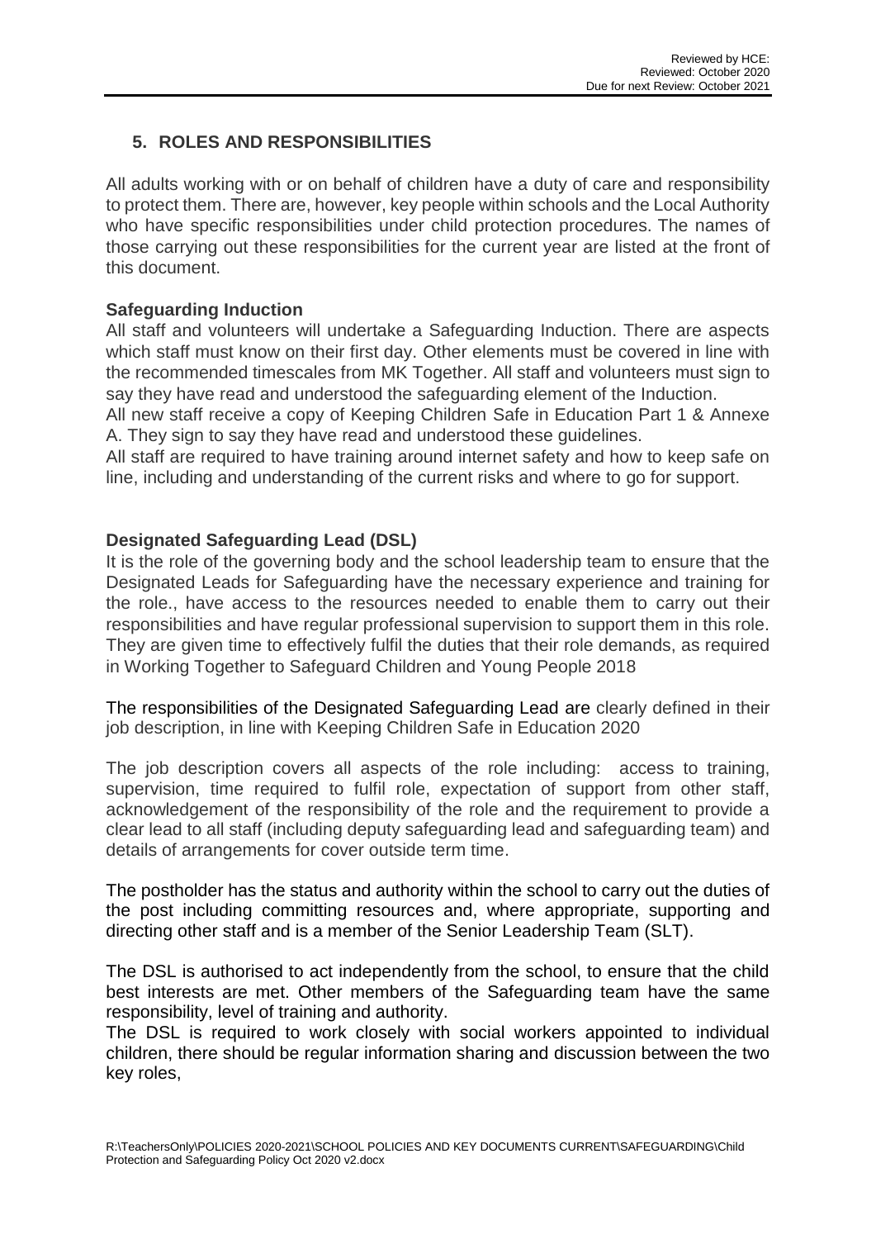# **5. ROLES AND RESPONSIBILITIES**

All adults working with or on behalf of children have a duty of care and responsibility to protect them. There are, however, key people within schools and the Local Authority who have specific responsibilities under child protection procedures. The names of those carrying out these responsibilities for the current year are listed at the front of this document.

# **Safeguarding Induction**

All staff and volunteers will undertake a Safeguarding Induction. There are aspects which staff must know on their first day. Other elements must be covered in line with the recommended timescales from MK Together. All staff and volunteers must sign to say they have read and understood the safeguarding element of the Induction.

All new staff receive a copy of Keeping Children Safe in Education Part 1 & Annexe A. They sign to say they have read and understood these guidelines.

All staff are required to have training around internet safety and how to keep safe on line, including and understanding of the current risks and where to go for support.

# **Designated Safeguarding Lead (DSL)**

It is the role of the governing body and the school leadership team to ensure that the Designated Leads for Safeguarding have the necessary experience and training for the role., have access to the resources needed to enable them to carry out their responsibilities and have regular professional supervision to support them in this role. They are given time to effectively fulfil the duties that their role demands, as required in Working Together to Safeguard Children and Young People 2018

The responsibilities of the Designated Safeguarding Lead are clearly defined in their job description, in line with Keeping Children Safe in Education 2020

The job description covers all aspects of the role including: access to training, supervision, time required to fulfil role, expectation of support from other staff, acknowledgement of the responsibility of the role and the requirement to provide a clear lead to all staff (including deputy safeguarding lead and safeguarding team) and details of arrangements for cover outside term time.

The postholder has the status and authority within the school to carry out the duties of the post including committing resources and, where appropriate, supporting and directing other staff and is a member of the Senior Leadership Team (SLT).

The DSL is authorised to act independently from the school, to ensure that the child best interests are met. Other members of the Safeguarding team have the same responsibility, level of training and authority.

The DSL is required to work closely with social workers appointed to individual children, there should be regular information sharing and discussion between the two key roles,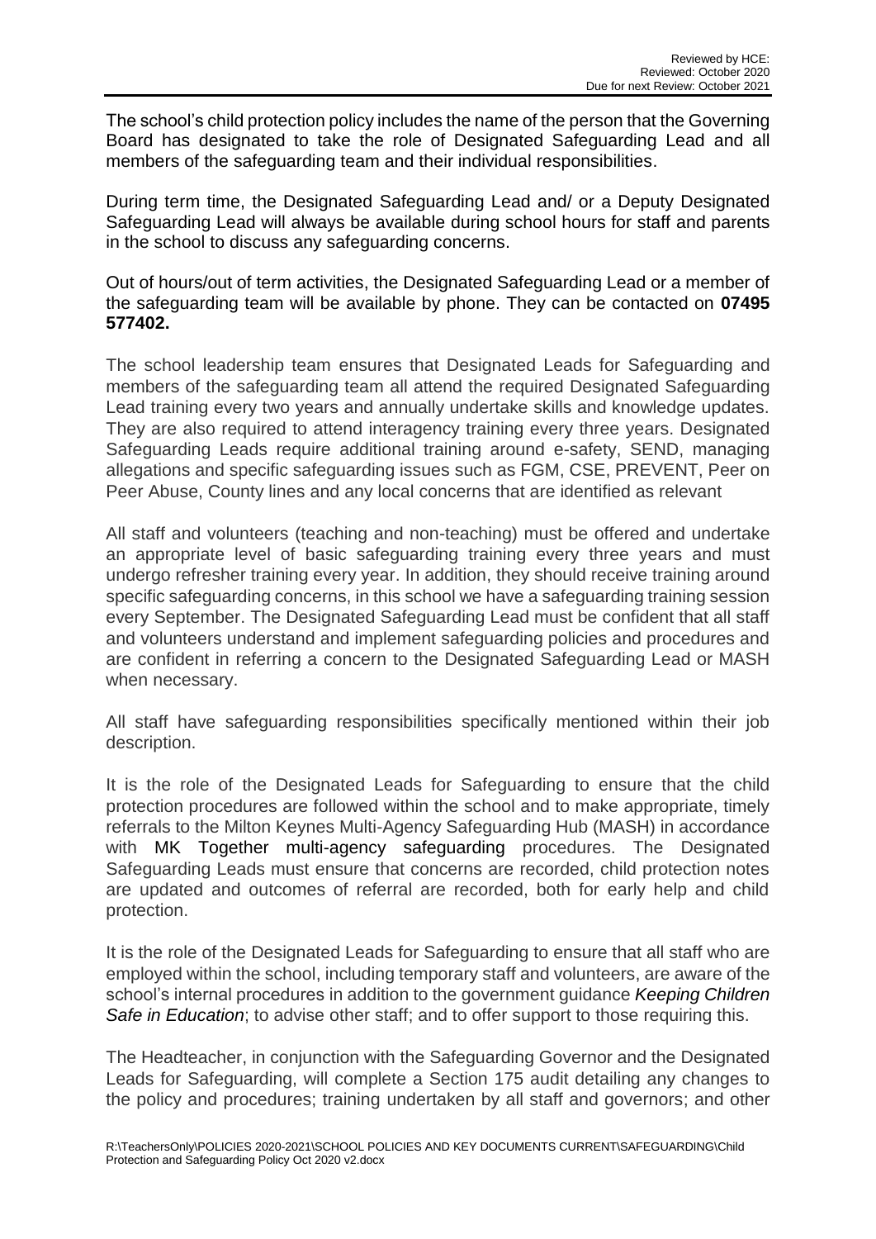The school's child protection policy includes the name of the person that the Governing Board has designated to take the role of Designated Safeguarding Lead and all members of the safeguarding team and their individual responsibilities.

During term time, the Designated Safeguarding Lead and/ or a Deputy Designated Safeguarding Lead will always be available during school hours for staff and parents in the school to discuss any safeguarding concerns.

Out of hours/out of term activities, the Designated Safeguarding Lead or a member of the safeguarding team will be available by phone. They can be contacted on **07495 577402.**

The school leadership team ensures that Designated Leads for Safeguarding and members of the safeguarding team all attend the required Designated Safeguarding Lead training every two years and annually undertake skills and knowledge updates. They are also required to attend interagency training every three years. Designated Safeguarding Leads require additional training around e-safety, SEND, managing allegations and specific safeguarding issues such as FGM, CSE, PREVENT, Peer on Peer Abuse, County lines and any local concerns that are identified as relevant

All staff and volunteers (teaching and non-teaching) must be offered and undertake an appropriate level of basic safeguarding training every three years and must undergo refresher training every year. In addition, they should receive training around specific safeguarding concerns, in this school we have a safeguarding training session every September. The Designated Safeguarding Lead must be confident that all staff and volunteers understand and implement safeguarding policies and procedures and are confident in referring a concern to the Designated Safeguarding Lead or MASH when necessary.

All staff have safeguarding responsibilities specifically mentioned within their job description.

It is the role of the Designated Leads for Safeguarding to ensure that the child protection procedures are followed within the school and to make appropriate, timely referrals to the Milton Keynes Multi-Agency Safeguarding Hub (MASH) in accordance with MK Together multi-agency safeguarding procedures. The Designated Safeguarding Leads must ensure that concerns are recorded, child protection notes are updated and outcomes of referral are recorded, both for early help and child protection.

It is the role of the Designated Leads for Safeguarding to ensure that all staff who are employed within the school, including temporary staff and volunteers, are aware of the school's internal procedures in addition to the government guidance *Keeping Children Safe in Education*; to advise other staff; and to offer support to those requiring this.

The Headteacher, in conjunction with the Safeguarding Governor and the Designated Leads for Safeguarding, will complete a Section 175 audit detailing any changes to the policy and procedures; training undertaken by all staff and governors; and other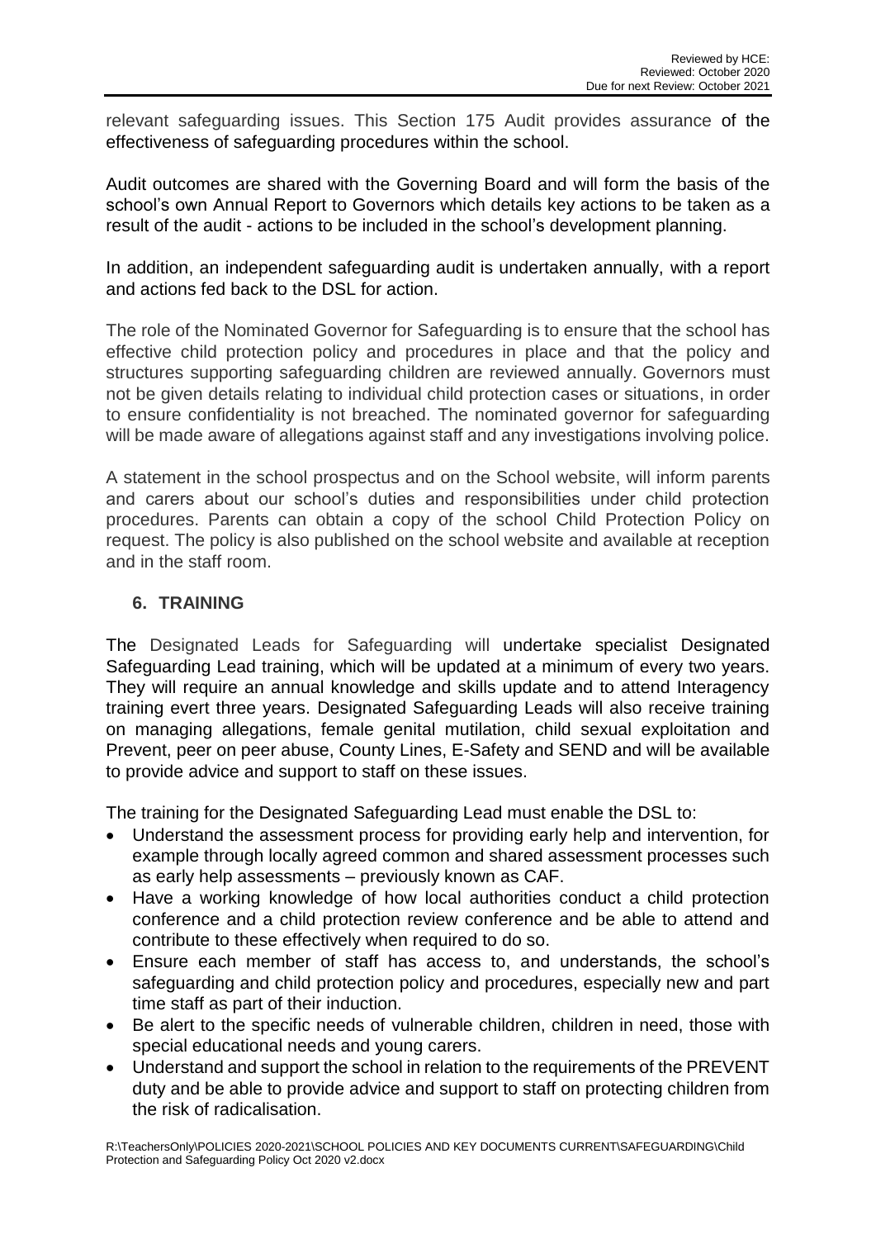relevant safeguarding issues. This Section 175 Audit provides assurance of the effectiveness of safeguarding procedures within the school.

Audit outcomes are shared with the Governing Board and will form the basis of the school's own Annual Report to Governors which details key actions to be taken as a result of the audit - actions to be included in the school's development planning.

In addition, an independent safeguarding audit is undertaken annually, with a report and actions fed back to the DSL for action.

The role of the Nominated Governor for Safeguarding is to ensure that the school has effective child protection policy and procedures in place and that the policy and structures supporting safeguarding children are reviewed annually. Governors must not be given details relating to individual child protection cases or situations, in order to ensure confidentiality is not breached. The nominated governor for safeguarding will be made aware of allegations against staff and any investigations involving police.

A statement in the school prospectus and on the School website, will inform parents and carers about our school's duties and responsibilities under child protection procedures. Parents can obtain a copy of the school Child Protection Policy on request. The policy is also published on the school website and available at reception and in the staff room.

# **6. TRAINING**

The Designated Leads for Safeguarding will undertake specialist Designated Safeguarding Lead training, which will be updated at a minimum of every two years. They will require an annual knowledge and skills update and to attend Interagency training evert three years. Designated Safeguarding Leads will also receive training on managing allegations, female genital mutilation, child sexual exploitation and Prevent, peer on peer abuse, County Lines, E-Safety and SEND and will be available to provide advice and support to staff on these issues.

The training for the Designated Safeguarding Lead must enable the DSL to:

- Understand the assessment process for providing early help and intervention, for example through locally agreed common and shared assessment processes such as early help assessments – previously known as CAF.
- Have a working knowledge of how local authorities conduct a child protection conference and a child protection review conference and be able to attend and contribute to these effectively when required to do so.
- Ensure each member of staff has access to, and understands, the school's safeguarding and child protection policy and procedures, especially new and part time staff as part of their induction.
- Be alert to the specific needs of vulnerable children, children in need, those with special educational needs and young carers.
- Understand and support the school in relation to the requirements of the PREVENT duty and be able to provide advice and support to staff on protecting children from the risk of radicalisation.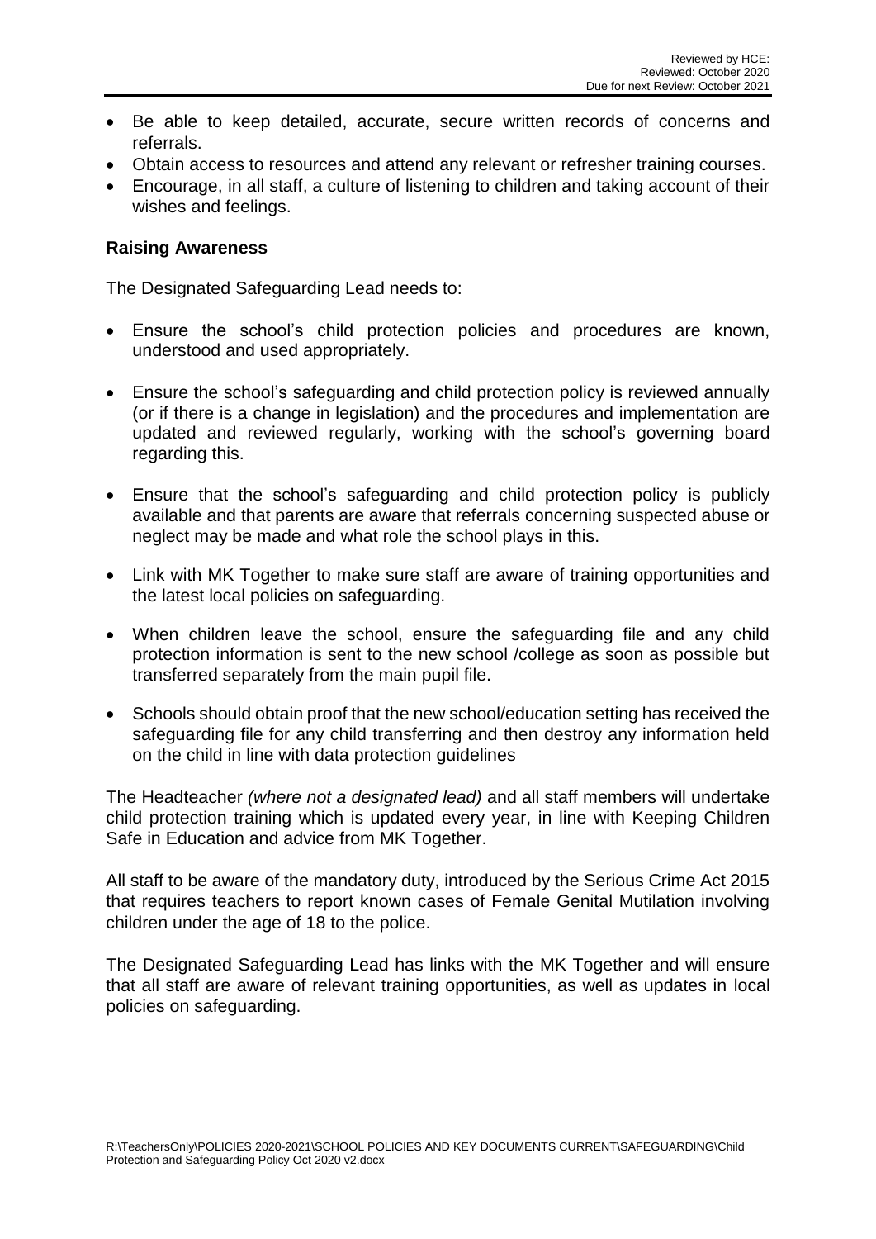- Be able to keep detailed, accurate, secure written records of concerns and referrals.
- Obtain access to resources and attend any relevant or refresher training courses.
- Encourage, in all staff, a culture of listening to children and taking account of their wishes and feelings.

# **Raising Awareness**

The Designated Safeguarding Lead needs to:

- Ensure the school's child protection policies and procedures are known, understood and used appropriately.
- Ensure the school's safeguarding and child protection policy is reviewed annually (or if there is a change in legislation) and the procedures and implementation are updated and reviewed regularly, working with the school's governing board regarding this.
- Ensure that the school's safeguarding and child protection policy is publicly available and that parents are aware that referrals concerning suspected abuse or neglect may be made and what role the school plays in this.
- Link with MK Together to make sure staff are aware of training opportunities and the latest local policies on safeguarding.
- When children leave the school, ensure the safeguarding file and any child protection information is sent to the new school /college as soon as possible but transferred separately from the main pupil file.
- Schools should obtain proof that the new school/education setting has received the safeguarding file for any child transferring and then destroy any information held on the child in line with data protection guidelines

The Headteacher *(where not a designated lead)* and all staff members will undertake child protection training which is updated every year, in line with Keeping Children Safe in Education and advice from MK Together.

All staff to be aware of the mandatory duty, introduced by the Serious Crime Act 2015 that requires teachers to report known cases of Female Genital Mutilation involving children under the age of 18 to the police.

The Designated Safeguarding Lead has links with the MK Together and will ensure that all staff are aware of relevant training opportunities, as well as updates in local policies on safeguarding.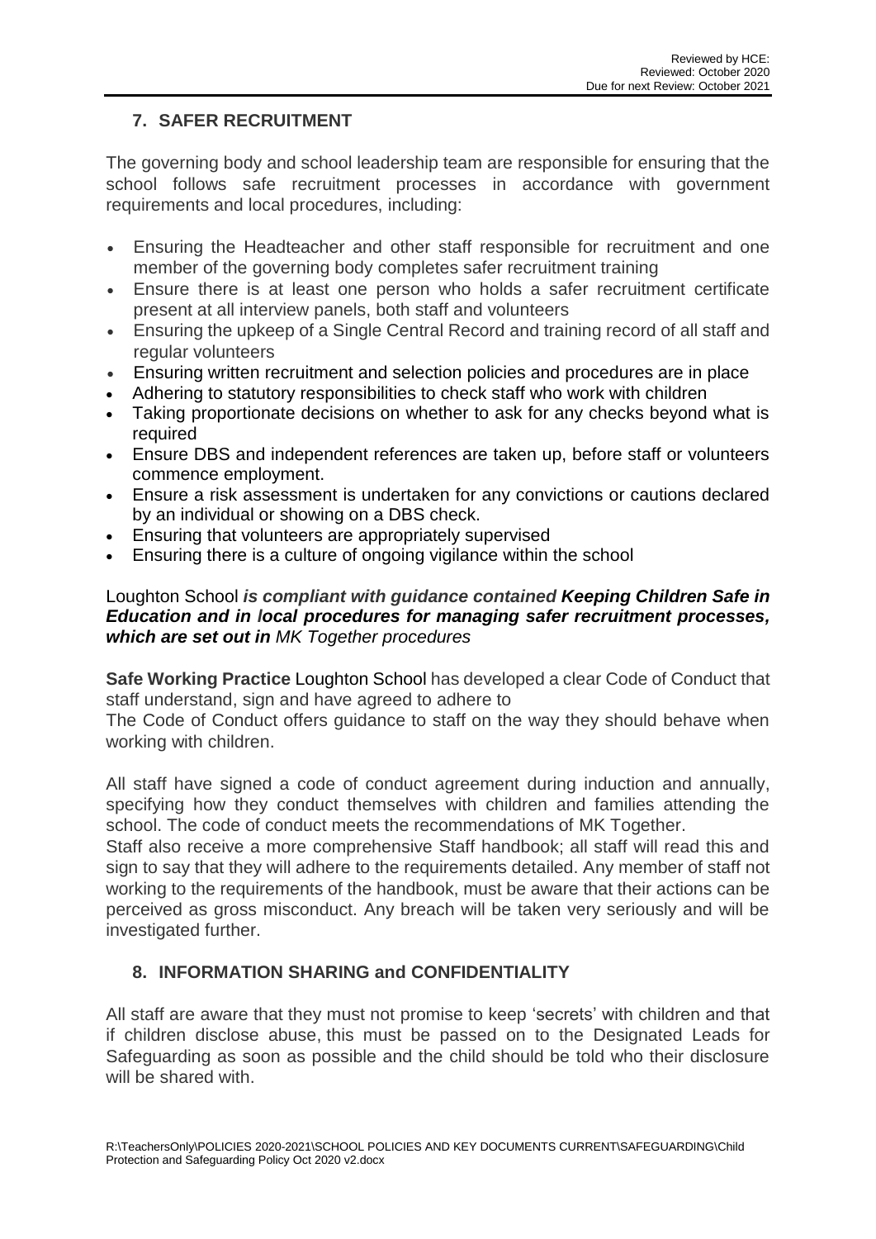# **7. SAFER RECRUITMENT**

The governing body and school leadership team are responsible for ensuring that the school follows safe recruitment processes in accordance with government requirements and local procedures, including:

- Ensuring the Headteacher and other staff responsible for recruitment and one member of the governing body completes safer recruitment training
- Ensure there is at least one person who holds a safer recruitment certificate present at all interview panels, both staff and volunteers
- Ensuring the upkeep of a Single Central Record and training record of all staff and regular volunteers
- Ensuring written recruitment and selection policies and procedures are in place
- Adhering to statutory responsibilities to check staff who work with children
- Taking proportionate decisions on whether to ask for any checks beyond what is required
- Ensure DBS and independent references are taken up, before staff or volunteers commence employment.
- Ensure a risk assessment is undertaken for any convictions or cautions declared by an individual or showing on a DBS check.
- Ensuring that volunteers are appropriately supervised
- Ensuring there is a culture of ongoing vigilance within the school

# Loughton School *is compliant with guidance contained Keeping Children Safe in Education and in local procedures for managing safer recruitment processes, which are set out in [MK Together procedures](http://www.mkscb.org/mkscb-professionalsandvolunteers/displayarticle.asp?ID=60650)*

**Safe Working Practice** Loughton School has developed a clear Code of Conduct that staff understand, sign and have agreed to adhere to

The Code of Conduct offers guidance to staff on the way they should behave when working with children.

All staff have signed a code of conduct agreement during induction and annually, specifying how they conduct themselves with children and families attending the school. The code of conduct meets the recommendations of MK Together.

Staff also receive a more comprehensive Staff handbook; all staff will read this and sign to say that they will adhere to the requirements detailed. Any member of staff not working to the requirements of the handbook, must be aware that their actions can be perceived as gross misconduct. Any breach will be taken very seriously and will be investigated further.

# **8. INFORMATION SHARING and CONFIDENTIALITY**

All staff are aware that they must not promise to keep 'secrets' with children and that if children disclose abuse, this must be passed on to the Designated Leads for Safeguarding as soon as possible and the child should be told who their disclosure will be shared with.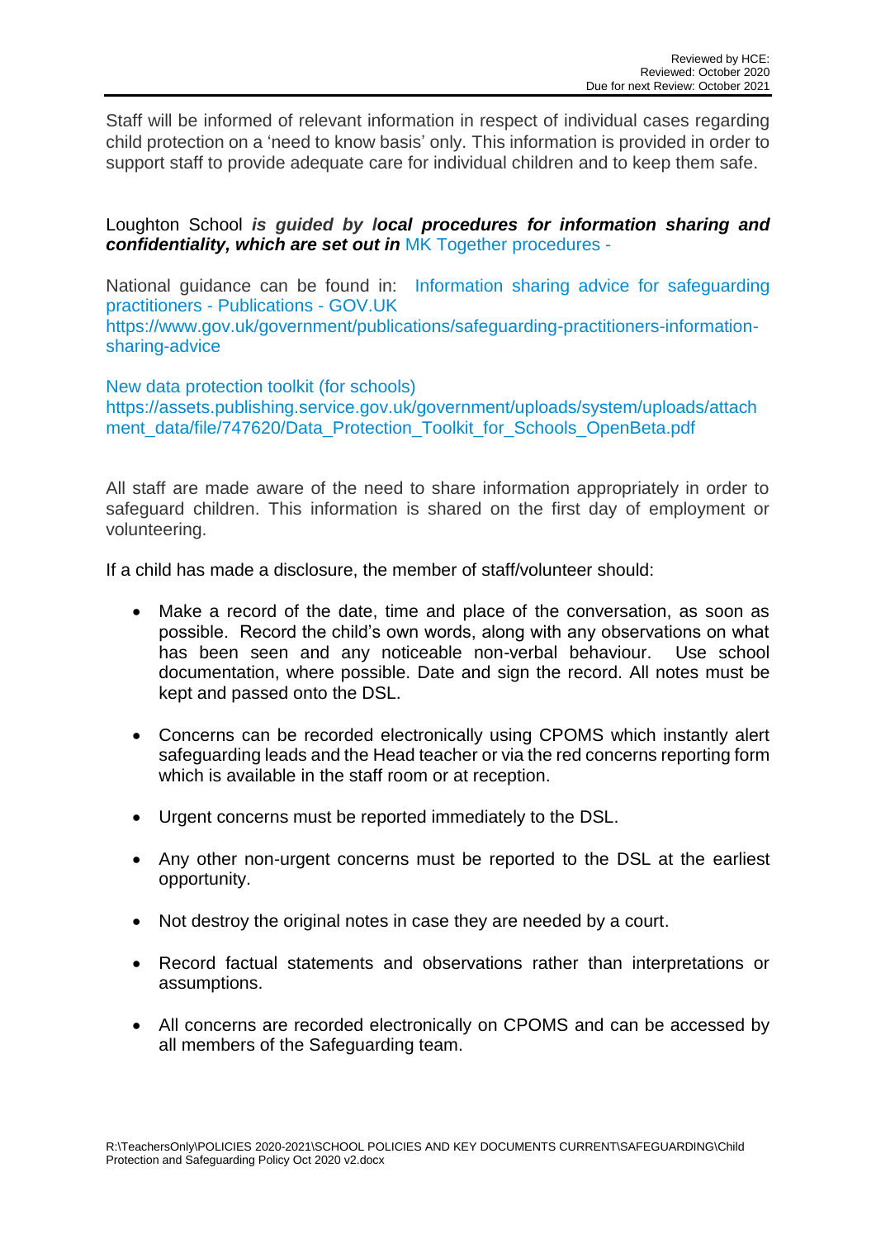Staff will be informed of relevant information in respect of individual cases regarding child protection on a 'need to know basis' only. This information is provided in order to support staff to provide adequate care for individual children and to keep them safe.

Loughton School *is guided by local procedures for information sharing and confidentiality, which are set out in* [MK Together](http://mkscb.procedures.org.uk/) procedures -

National guidance can be found in: [Information sharing advice for safeguarding](https://www.gov.uk/government/publications/safeguarding-practitioners-information-sharing-advice)  [practitioners -](https://www.gov.uk/government/publications/safeguarding-practitioners-information-sharing-advice) Publications - GOV.UK [https://www.gov.uk/government/publications/safeguarding-practitioners-information](https://www.gov.uk/government/publications/safeguarding-practitioners-information-sharing-advice)[sharing-advice](https://www.gov.uk/government/publications/safeguarding-practitioners-information-sharing-advice)

New data protection toolkit (for schools) [https://assets.publishing.service.gov.uk/government/uploads/system/uploads/attach](https://assets.publishing.service.gov.uk/government/uploads/system/uploads/attachment_data/file/747620/Data_Protection_Toolkit_for_Schools_OpenBeta.pdf) [ment\\_data/file/747620/Data\\_Protection\\_Toolkit\\_for\\_Schools\\_OpenBeta.pdf](https://assets.publishing.service.gov.uk/government/uploads/system/uploads/attachment_data/file/747620/Data_Protection_Toolkit_for_Schools_OpenBeta.pdf)

All staff are made aware of the need to share information appropriately in order to safeguard children. This information is shared on the first day of employment or volunteering.

If a child has made a disclosure, the member of staff/volunteer should:

- Make a record of the date, time and place of the conversation, as soon as possible. Record the child's own words, along with any observations on what has been seen and any noticeable non-verbal behaviour. Use school documentation, where possible. Date and sign the record. All notes must be kept and passed onto the DSL.
- Concerns can be recorded electronically using CPOMS which instantly alert safeguarding leads and the Head teacher or via the red concerns reporting form which is available in the staff room or at reception.
- Urgent concerns must be reported immediately to the DSL.
- Any other non-urgent concerns must be reported to the DSL at the earliest opportunity.
- Not destroy the original notes in case they are needed by a court.
- Record factual statements and observations rather than interpretations or assumptions.
- All concerns are recorded electronically on CPOMS and can be accessed by all members of the Safeguarding team.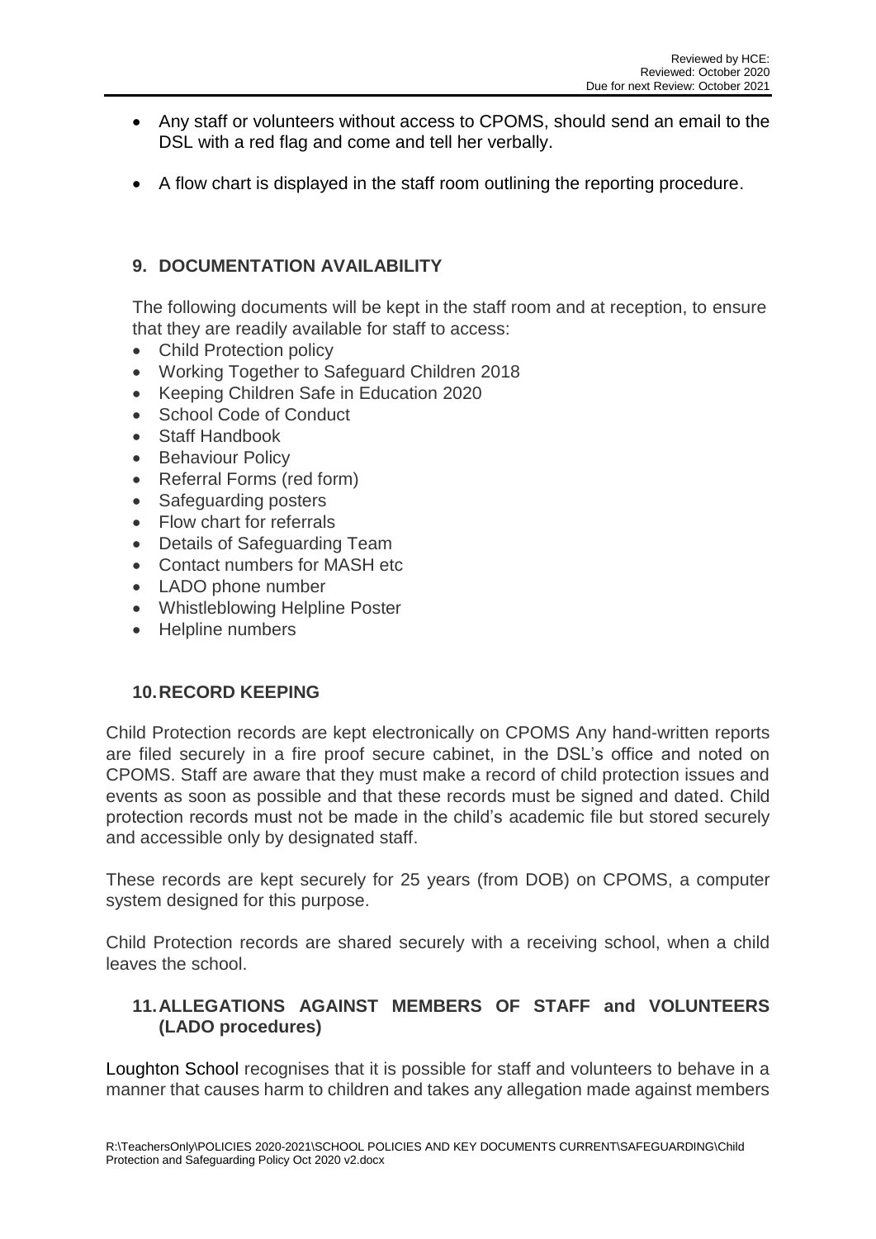- Any staff or volunteers without access to CPOMS, should send an email to the DSL with a red flag and come and tell her verbally.
- A flow chart is displayed in the staff room outlining the reporting procedure.

# **9. DOCUMENTATION AVAILABILITY**

The following documents will be kept in the staff room and at reception, to ensure that they are readily available for staff to access:

- Child Protection policy
- Working Together to Safeguard Children 2018
- Keeping Children Safe in Education 2020
- School Code of Conduct
- Staff Handbook
- Behaviour Policy
- Referral Forms (red form)
- Safeguarding posters
- Flow chart for referrals
- Details of Safeguarding Team
- Contact numbers for MASH etc
- LADO phone number
- Whistleblowing Helpline Poster
- Helpline numbers

# **10.RECORD KEEPING**

Child Protection records are kept electronically on CPOMS Any hand-written reports are filed securely in a fire proof secure cabinet, in the DSL's office and noted on CPOMS. Staff are aware that they must make a record of child protection issues and events as soon as possible and that these records must be signed and dated. Child protection records must not be made in the child's academic file but stored securely and accessible only by designated staff.

These records are kept securely for 25 years (from DOB) on CPOMS, a computer system designed for this purpose.

Child Protection records are shared securely with a receiving school, when a child leaves the school.

# **11.ALLEGATIONS AGAINST MEMBERS OF STAFF and VOLUNTEERS (LADO procedures)**

Loughton School recognises that it is possible for staff and volunteers to behave in a manner that causes harm to children and takes any allegation made against members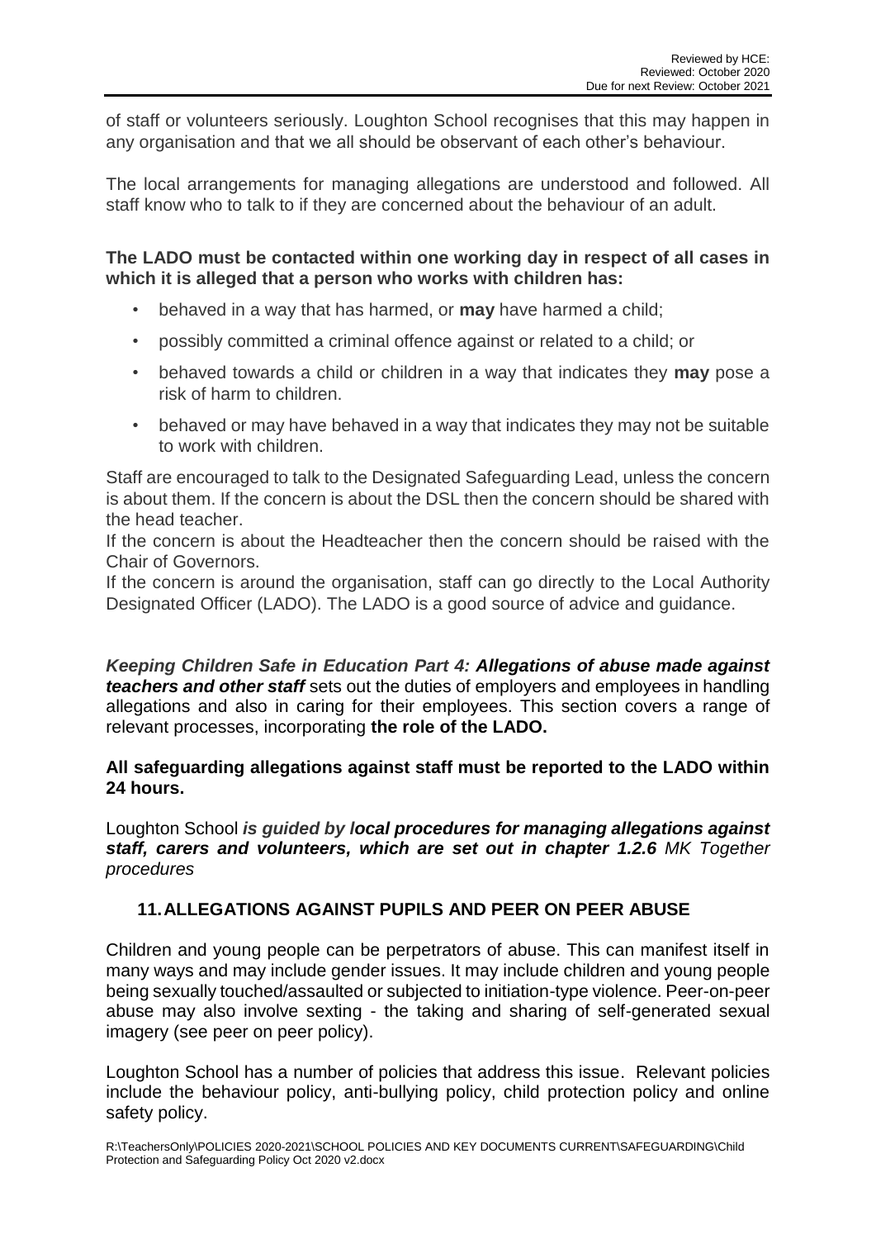of staff or volunteers seriously. Loughton School recognises that this may happen in any organisation and that we all should be observant of each other's behaviour.

The local arrangements for managing allegations are understood and followed. All staff know who to talk to if they are concerned about the behaviour of an adult.

**The LADO must be contacted within one working day in respect of all cases in which it is alleged that a person who works with children has:**

- behaved in a way that has harmed, or **may** have harmed a child;
- possibly committed a criminal offence against or related to a child; or
- behaved towards a child or children in a way that indicates they **may** pose a risk of harm to children.
- behaved or may have behaved in a way that indicates they may not be suitable to work with children.

Staff are encouraged to talk to the Designated Safeguarding Lead, unless the concern is about them. If the concern is about the DSL then the concern should be shared with the head teacher.

If the concern is about the Headteacher then the concern should be raised with the Chair of Governors.

If the concern is around the organisation, staff can go directly to the Local Authority Designated Officer (LADO). The LADO is a good source of advice and guidance.

*Keeping Children Safe in Education Part 4: Allegations of abuse made against teachers and other staff* sets out the duties of employers and employees in handling allegations and also in caring for their employees. This section covers a range of relevant processes, incorporating **the role of the LADO.**

# **All safeguarding allegations against staff must be reported to the LADO within 24 hours.**

Loughton School *is guided by local procedures for managing allegations against staff, carers and volunteers, which are set out in chapter 1.2.6 [MK Together](http://www.mkscb.org/mkscb-professionalsandvolunteers/displayarticle.asp?ID=60650)  [procedures](http://www.mkscb.org/mkscb-professionalsandvolunteers/displayarticle.asp?ID=60650)*

# **11.ALLEGATIONS AGAINST PUPILS AND PEER ON PEER ABUSE**

Children and young people can be perpetrators of abuse. This can manifest itself in many ways and may include gender issues. It may include children and young people being sexually touched/assaulted or subjected to initiation-type violence. Peer-on-peer abuse may also involve sexting - the taking and sharing of self-generated sexual imagery (see peer on peer policy).

Loughton School has a number of policies that address this issue. Relevant policies include the behaviour policy, anti-bullying policy, child protection policy and online safety policy.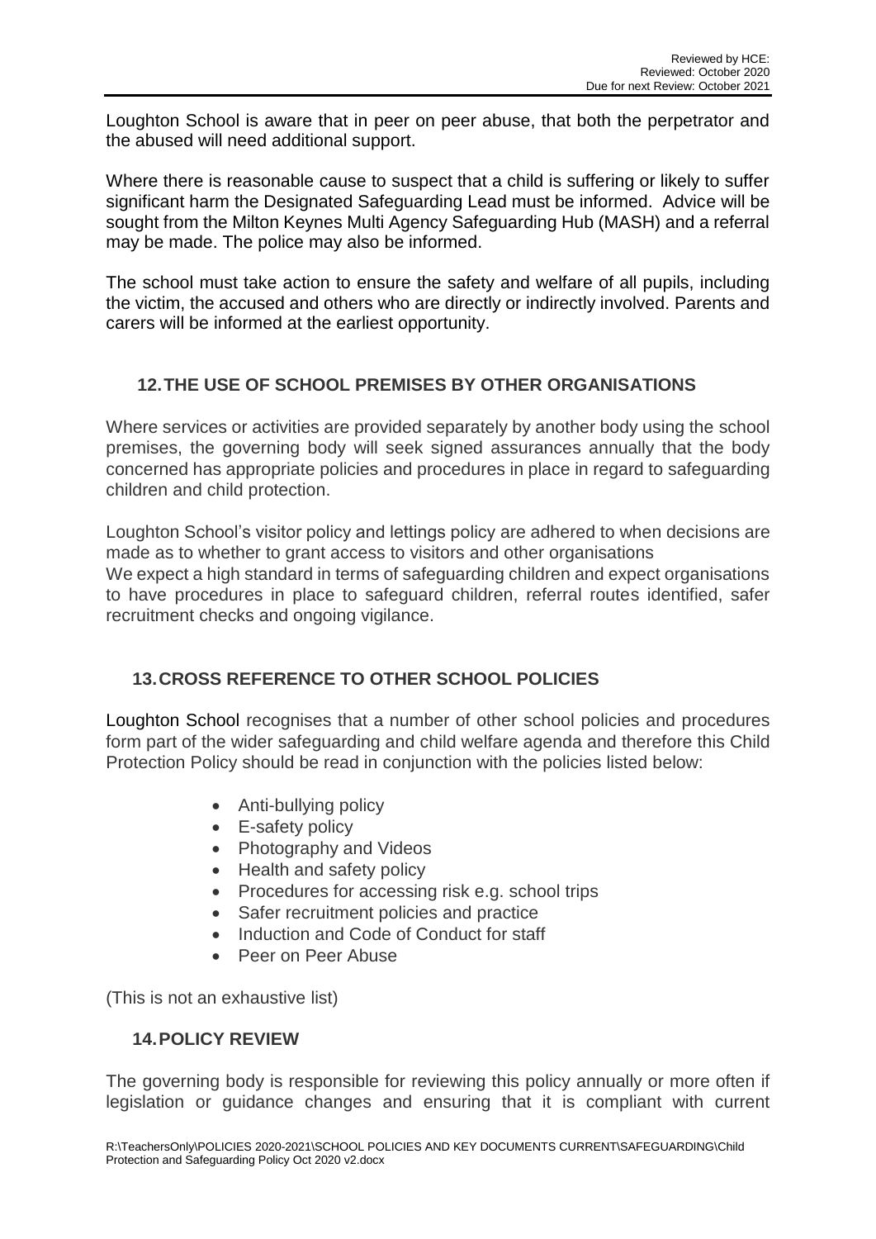Loughton School is aware that in peer on peer abuse, that both the perpetrator and the abused will need additional support.

Where there is reasonable cause to suspect that a child is suffering or likely to suffer significant harm the Designated Safeguarding Lead must be informed. Advice will be sought from the Milton Keynes Multi Agency Safeguarding Hub (MASH) and a referral may be made. The police may also be informed.

The school must take action to ensure the safety and welfare of all pupils, including the victim, the accused and others who are directly or indirectly involved. Parents and carers will be informed at the earliest opportunity.

# **12.THE USE OF SCHOOL PREMISES BY OTHER ORGANISATIONS**

Where services or activities are provided separately by another body using the school premises, the governing body will seek signed assurances annually that the body concerned has appropriate policies and procedures in place in regard to safeguarding children and child protection.

Loughton School's visitor policy and lettings policy are adhered to when decisions are made as to whether to grant access to visitors and other organisations We expect a high standard in terms of safeguarding children and expect organisations to have procedures in place to safeguard children, referral routes identified, safer recruitment checks and ongoing vigilance.

# **13.CROSS REFERENCE TO OTHER SCHOOL POLICIES**

Loughton School recognises that a number of other school policies and procedures form part of the wider safeguarding and child welfare agenda and therefore this Child Protection Policy should be read in conjunction with the policies listed below:

- Anti-bullying policy
- E-safety policy
- Photography and Videos
- Health and safety policy
- Procedures for accessing risk e.g. school trips
- Safer recruitment policies and practice
- Induction and Code of Conduct for staff
- Peer on Peer Abuse

(This is not an exhaustive list)

# **14.POLICY REVIEW**

The governing body is responsible for reviewing this policy annually or more often if legislation or guidance changes and ensuring that it is compliant with current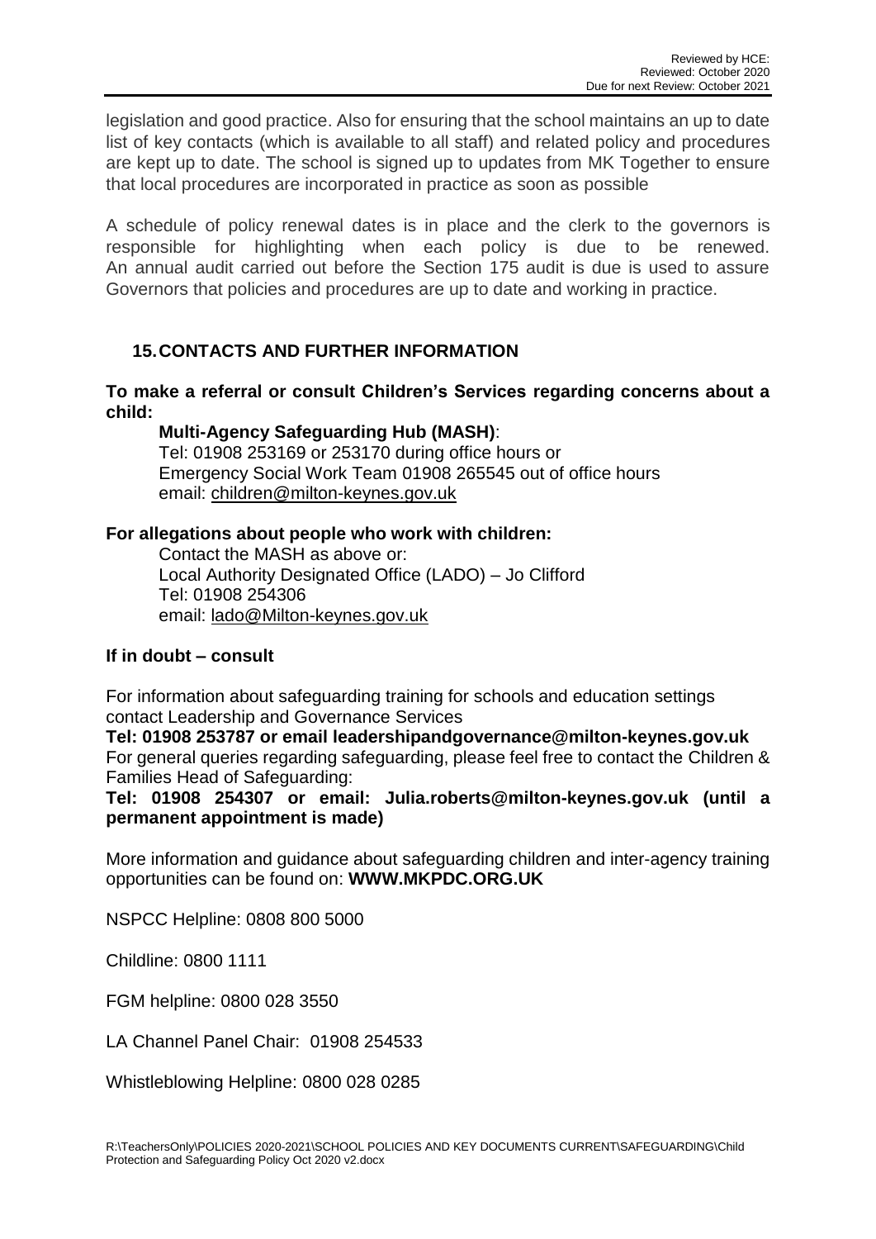legislation and good practice. Also for ensuring that the school maintains an up to date list of key contacts (which is available to all staff) and related policy and procedures are kept up to date. The school is signed up to updates from MK Together to ensure that local procedures are incorporated in practice as soon as possible

A schedule of policy renewal dates is in place and the clerk to the governors is responsible for highlighting when each policy is due to be renewed. An annual audit carried out before the Section 175 audit is due is used to assure Governors that policies and procedures are up to date and working in practice.

# **15.CONTACTS AND FURTHER INFORMATION**

#### **To make a referral or consult Children's Services regarding concerns about a child:**

**Multi-Agency Safeguarding Hub (MASH)**: Tel: 01908 253169 or 253170 during office hours or Emergency Social Work Team 01908 265545 out of office hours email: [children@milton-keynes.gov.uk](mailto:children@milton-keynes.gov.uk)

# **For allegations about people who work with children:**

Contact the MASH as above or: Local Authority Designated Office (LADO) – Jo Clifford Tel: 01908 254306 email: [lado@Milton-keynes.gov.uk](mailto:lado@Milton-keynes.gov.uk)

# **If in doubt – consult**

For information about safeguarding training for schools and education settings contact Leadership and Governance Services

**Tel: 01908 253787 or email leadershipandgovernance@milton-keynes.gov.uk** For general queries regarding safeguarding, please feel free to contact the Children & Families Head of Safeguarding:

**Tel: 01908 254307 or email: Julia.roberts@milton-keynes.gov.uk (until a permanent appointment is made)**

More information and guidance about safeguarding children and inter-agency training opportunities can be found on: **WWW.MKPDC.ORG.UK**

NSPCC Helpline: 0808 800 5000

Childline: 0800 1111

FGM helpline: [0800 028 3550](tel:08000283550)

LA Channel Panel Chair: 01908 254533

Whistleblowing Helpline: 0800 028 0285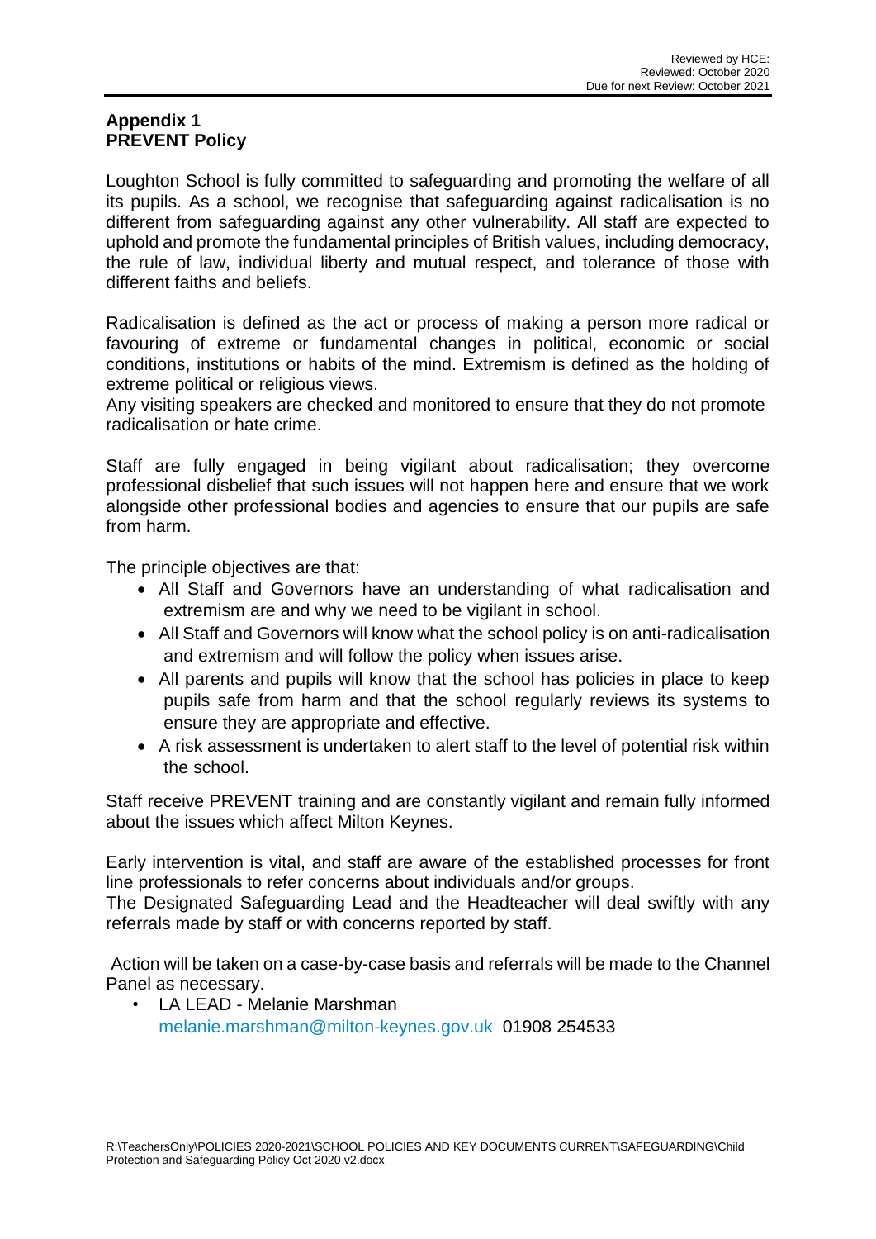# **Appendix 1 PREVENT Policy**

Loughton School is fully committed to safeguarding and promoting the welfare of all its pupils. As a school, we recognise that safeguarding against radicalisation is no different from safeguarding against any other vulnerability. All staff are expected to uphold and promote the fundamental principles of British values, including democracy, the rule of law, individual liberty and mutual respect, and tolerance of those with different faiths and beliefs.

Radicalisation is defined as the act or process of making a person more radical or favouring of extreme or fundamental changes in political, economic or social conditions, institutions or habits of the mind. Extremism is defined as the holding of extreme political or religious views.

Any visiting speakers are checked and monitored to ensure that they do not promote radicalisation or hate crime.

Staff are fully engaged in being vigilant about radicalisation; they overcome professional disbelief that such issues will not happen here and ensure that we work alongside other professional bodies and agencies to ensure that our pupils are safe from harm.

The principle objectives are that:

- All Staff and Governors have an understanding of what radicalisation and extremism are and why we need to be vigilant in school.
- All Staff and Governors will know what the school policy is on anti-radicalisation and extremism and will follow the policy when issues arise.
- All parents and pupils will know that the school has policies in place to keep pupils safe from harm and that the school regularly reviews its systems to ensure they are appropriate and effective.
- A risk assessment is undertaken to alert staff to the level of potential risk within the school.

Staff receive PREVENT training and are constantly vigilant and remain fully informed about the issues which affect Milton Keynes.

Early intervention is vital, and staff are aware of the established processes for front line professionals to refer concerns about individuals and/or groups.

The Designated Safeguarding Lead and the Headteacher will deal swiftly with any referrals made by staff or with concerns reported by staff.

Action will be taken on a case-by-case basis and referrals will be made to the Channel Panel as necessary.

LA LEAD - Melanie Marshman [melanie.marshman@milton-keynes.gov.uk](mailto:jane.harrison@milton-keynes.gov.uk) 01908 254533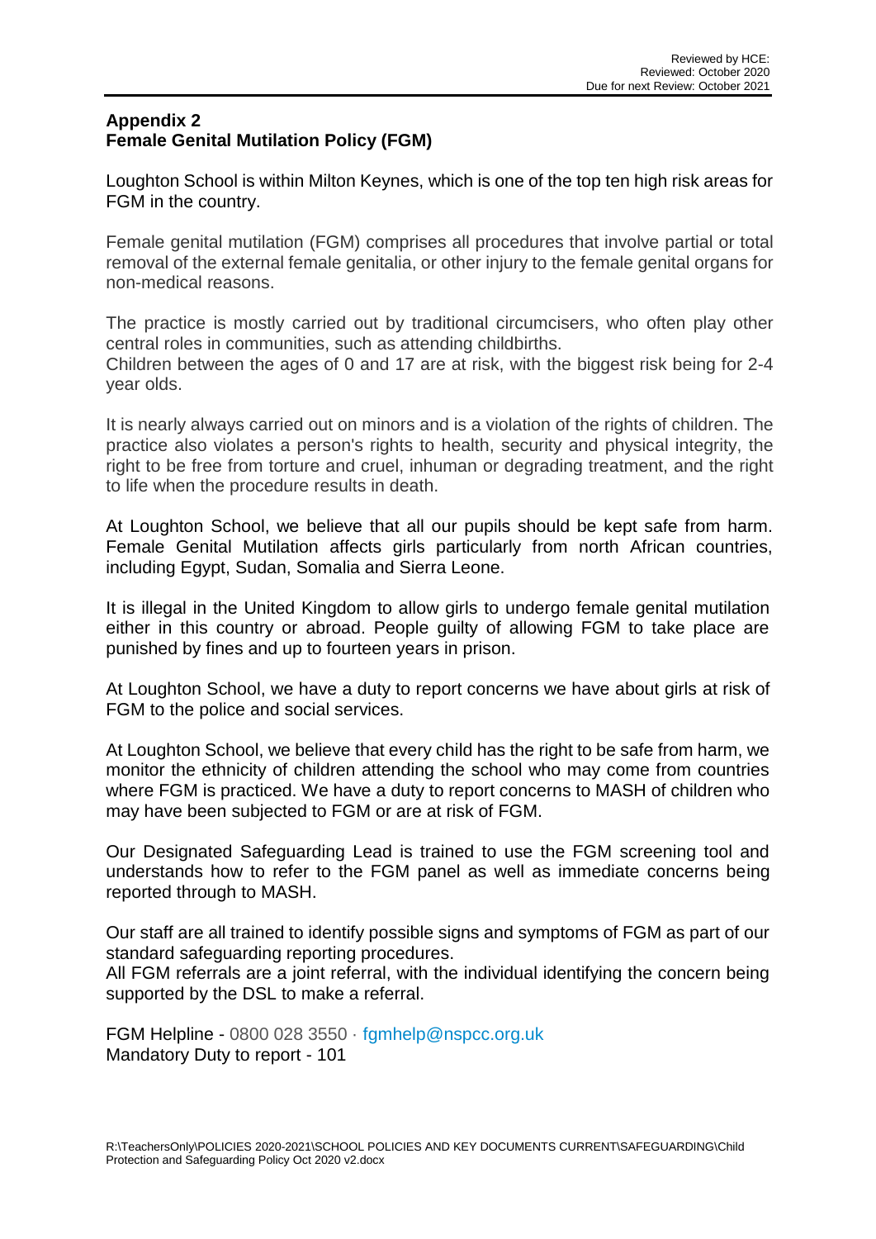# **Appendix 2 Female Genital Mutilation Policy (FGM)**

Loughton School is within Milton Keynes, which is one of the top ten high risk areas for FGM in the country.

Female genital mutilation (FGM) comprises all procedures that involve partial or total removal of the external female genitalia, or other injury to the female genital organs for non-medical reasons.

The practice is mostly carried out by traditional circumcisers, who often play other central roles in communities, such as attending childbirths.

Children between the ages of 0 and 17 are at risk, with the biggest risk being for 2-4 year olds.

It is nearly always carried out on minors and is a violation of the rights of children. The practice also violates a person's rights to health, security and physical integrity, the right to be free from torture and cruel, inhuman or degrading treatment, and the right to life when the procedure results in death.

At Loughton School, we believe that all our pupils should be kept safe from harm. Female Genital Mutilation affects girls particularly from north African countries, including Egypt, Sudan, Somalia and Sierra Leone.

It is illegal in the United Kingdom to allow girls to undergo female genital mutilation either in this country or abroad. People guilty of allowing FGM to take place are punished by fines and up to fourteen years in prison.

At Loughton School, we have a duty to report concerns we have about girls at risk of FGM to the police and social services.

At Loughton School, we believe that every child has the right to be safe from harm, we monitor the ethnicity of children attending the school who may come from countries where FGM is practiced. We have a duty to report concerns to MASH of children who may have been subjected to FGM or are at risk of FGM.

Our Designated Safeguarding Lead is trained to use the FGM screening tool and understands how to refer to the FGM panel as well as immediate concerns being reported through to MASH.

Our staff are all trained to identify possible signs and symptoms of FGM as part of our standard safeguarding reporting procedures.

All FGM referrals are a joint referral, with the individual identifying the concern being supported by the DSL to make a referral.

FGM Helpline - 0800 028 3550 · [fgmhelp@nspcc.org.uk](mailto:fgmhelp@nspcc.org.uk) Mandatory Duty to report - 101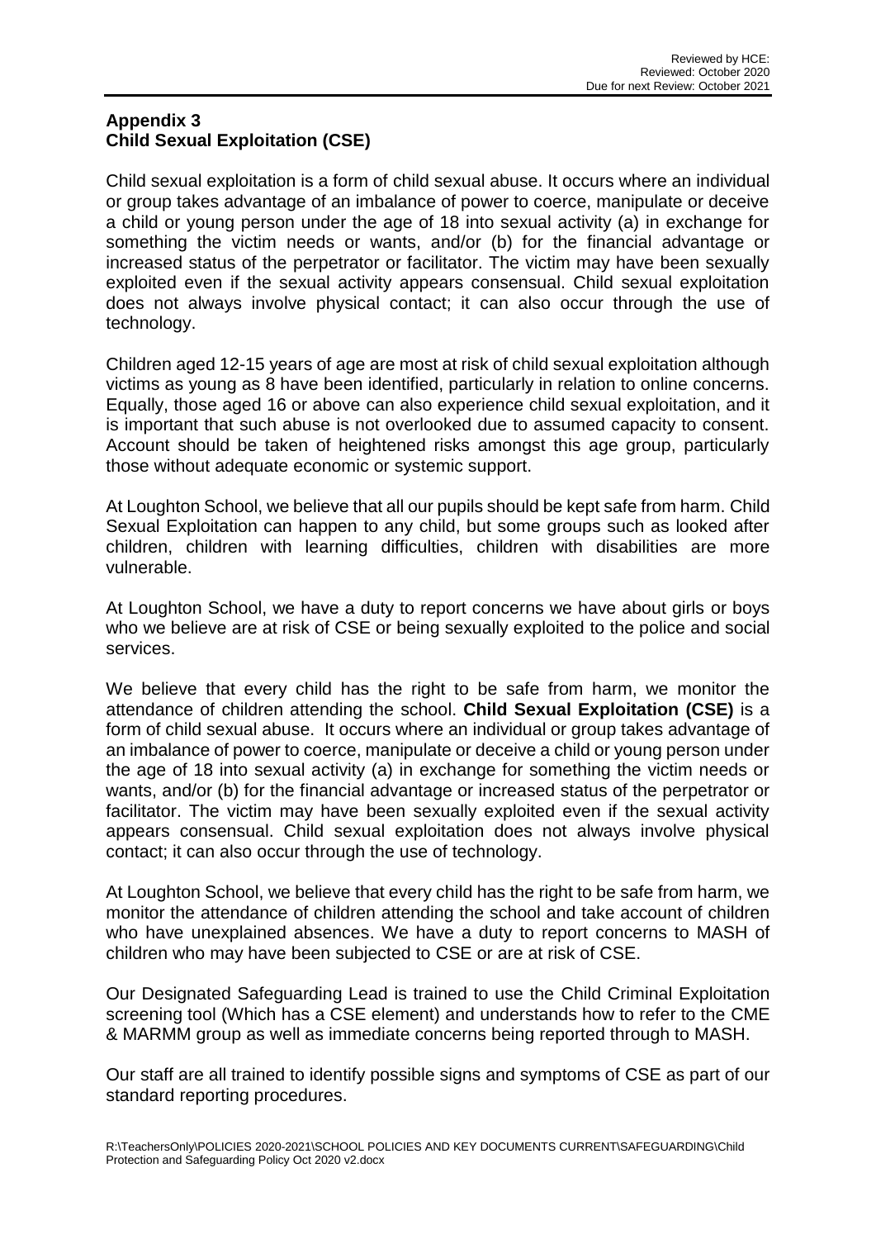# **Appendix 3 Child Sexual Exploitation (CSE)**

Child sexual exploitation is a form of child sexual abuse. It occurs where an individual or group takes advantage of an imbalance of power to coerce, manipulate or deceive a child or young person under the age of 18 into sexual activity (a) in exchange for something the victim needs or wants, and/or (b) for the financial advantage or increased status of the perpetrator or facilitator. The victim may have been sexually exploited even if the sexual activity appears consensual. Child sexual exploitation does not always involve physical contact; it can also occur through the use of technology.

Children aged 12-15 years of age are most at risk of child sexual exploitation although victims as young as 8 have been identified, particularly in relation to online concerns. Equally, those aged 16 or above can also experience child sexual exploitation, and it is important that such abuse is not overlooked due to assumed capacity to consent. Account should be taken of heightened risks amongst this age group, particularly those without adequate economic or systemic support.

At Loughton School, we believe that all our pupils should be kept safe from harm. Child Sexual Exploitation can happen to any child, but some groups such as looked after children, children with learning difficulties, children with disabilities are more vulnerable.

At Loughton School, we have a duty to report concerns we have about girls or boys who we believe are at risk of CSE or being sexually exploited to the police and social services.

We believe that every child has the right to be safe from harm, we monitor the attendance of children attending the school. **Child Sexual Exploitation (CSE)** is a form of child sexual abuse. It occurs where an individual or group takes advantage of an imbalance of power to coerce, manipulate or deceive a child or young person under the age of 18 into sexual activity (a) in exchange for something the victim needs or wants, and/or (b) for the financial advantage or increased status of the perpetrator or facilitator. The victim may have been sexually exploited even if the sexual activity appears consensual. Child sexual exploitation does not always involve physical contact; it can also occur through the use of technology.

At Loughton School, we believe that every child has the right to be safe from harm, we monitor the attendance of children attending the school and take account of children who have unexplained absences. We have a duty to report concerns to MASH of children who may have been subjected to CSE or are at risk of CSE.

Our Designated Safeguarding Lead is trained to use the Child Criminal Exploitation screening tool (Which has a CSE element) and understands how to refer to the CME & MARMM group as well as immediate concerns being reported through to MASH.

Our staff are all trained to identify possible signs and symptoms of CSE as part of our standard reporting procedures.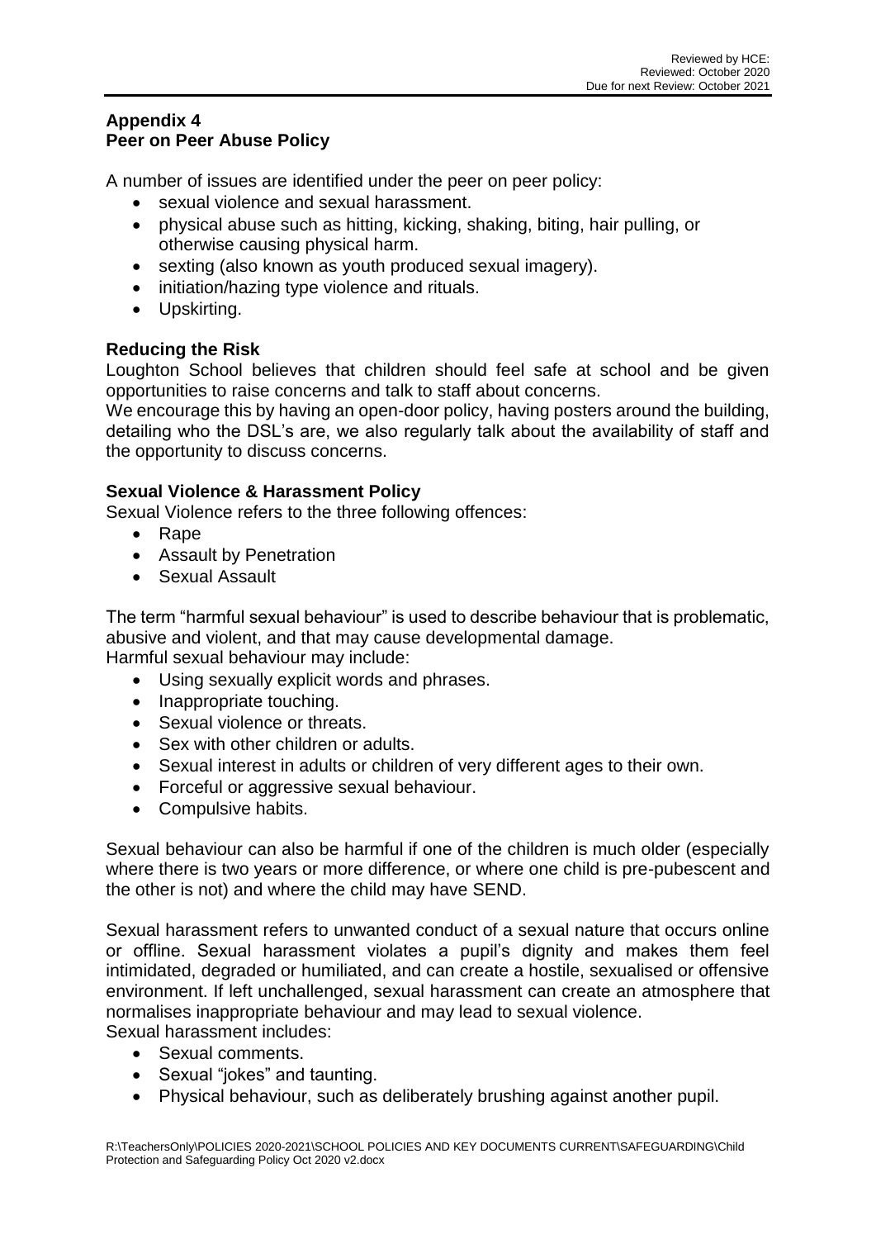#### **Appendix 4 Peer on Peer Abuse Policy**

A number of issues are identified under the peer on peer policy:

- sexual violence and sexual harassment.
- physical abuse such as hitting, kicking, shaking, biting, hair pulling, or otherwise causing physical harm.
- sexting (also known as youth produced sexual imagery).
- initiation/hazing type violence and rituals.
- Upskirting.

#### **Reducing the Risk**

Loughton School believes that children should feel safe at school and be given opportunities to raise concerns and talk to staff about concerns.

We encourage this by having an open-door policy, having posters around the building, detailing who the DSL's are, we also regularly talk about the availability of staff and the opportunity to discuss concerns.

#### **Sexual Violence & Harassment Policy**

Sexual Violence refers to the three following offences:

- Rape
- Assault by Penetration
- Sexual Assault

The term "harmful sexual behaviour" is used to describe behaviour that is problematic, abusive and violent, and that may cause developmental damage.

Harmful sexual behaviour may include:

- Using sexually explicit words and phrases.
- Inappropriate touching.
- Sexual violence or threats
- Sex with other children or adults.
- Sexual interest in adults or children of very different ages to their own.
- Forceful or aggressive sexual behaviour.
- Compulsive habits.

Sexual behaviour can also be harmful if one of the children is much older (especially where there is two years or more difference, or where one child is pre-pubescent and the other is not) and where the child may have SEND.

Sexual harassment refers to unwanted conduct of a sexual nature that occurs online or offline. Sexual harassment violates a pupil's dignity and makes them feel intimidated, degraded or humiliated, and can create a hostile, sexualised or offensive environment. If left unchallenged, sexual harassment can create an atmosphere that normalises inappropriate behaviour and may lead to sexual violence. Sexual harassment includes:

- Sexual comments.
- Sexual "jokes" and taunting.
- Physical behaviour, such as deliberately brushing against another pupil.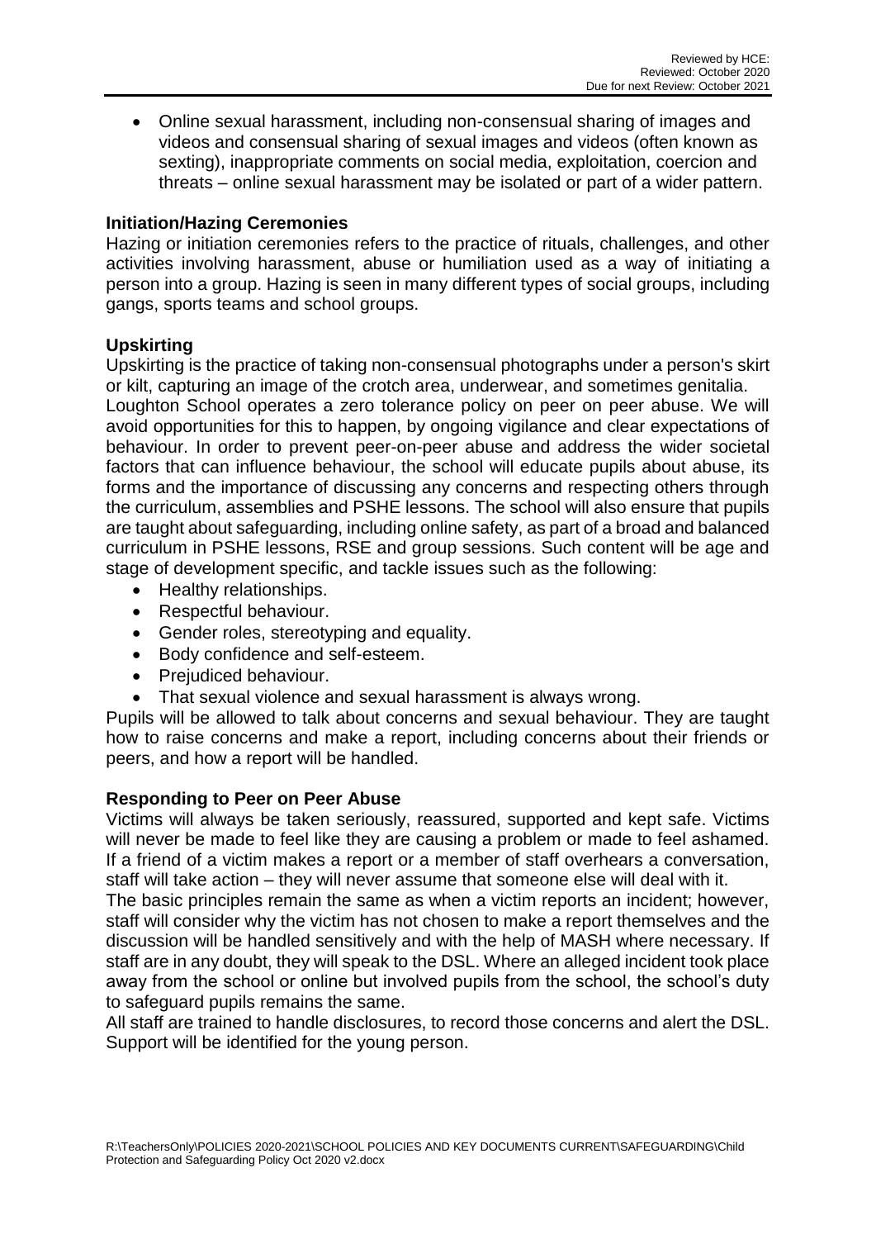• Online sexual harassment, including non-consensual sharing of images and videos and consensual sharing of sexual images and videos (often known as sexting), inappropriate comments on social media, exploitation, coercion and threats – online sexual harassment may be isolated or part of a wider pattern.

# **Initiation/Hazing Ceremonies**

Hazing or initiation ceremonies refers to the practice of rituals, challenges, and other activities involving harassment, abuse or humiliation used as a way of initiating a person into a group. Hazing is seen in many different types of social groups, including gangs, sports teams and school groups.

# **Upskirting**

Upskirting is the practice of taking non-consensual photographs under a person's skirt or kilt, capturing an image of the crotch area, underwear, and sometimes genitalia. Loughton School operates a zero tolerance policy on peer on peer abuse. We will avoid opportunities for this to happen, by ongoing vigilance and clear expectations of behaviour. In order to prevent peer-on-peer abuse and address the wider societal factors that can influence behaviour, the school will educate pupils about abuse, its forms and the importance of discussing any concerns and respecting others through the curriculum, assemblies and PSHE lessons. The school will also ensure that pupils are taught about safeguarding, including online safety, as part of a broad and balanced curriculum in PSHE lessons, RSE and group sessions. Such content will be age and stage of development specific, and tackle issues such as the following:

- Healthy relationships.
- Respectful behaviour.
- Gender roles, stereotyping and equality.
- Body confidence and self-esteem.
- Prejudiced behaviour.
- That sexual violence and sexual harassment is always wrong.

Pupils will be allowed to talk about concerns and sexual behaviour. They are taught how to raise concerns and make a report, including concerns about their friends or peers, and how a report will be handled.

# **Responding to Peer on Peer Abuse**

Victims will always be taken seriously, reassured, supported and kept safe. Victims will never be made to feel like they are causing a problem or made to feel ashamed. If a friend of a victim makes a report or a member of staff overhears a conversation, staff will take action – they will never assume that someone else will deal with it.

The basic principles remain the same as when a victim reports an incident; however, staff will consider why the victim has not chosen to make a report themselves and the discussion will be handled sensitively and with the help of MASH where necessary. If staff are in any doubt, they will speak to the DSL. Where an alleged incident took place away from the school or online but involved pupils from the school, the school's duty to safeguard pupils remains the same.

All staff are trained to handle disclosures, to record those concerns and alert the DSL. Support will be identified for the young person.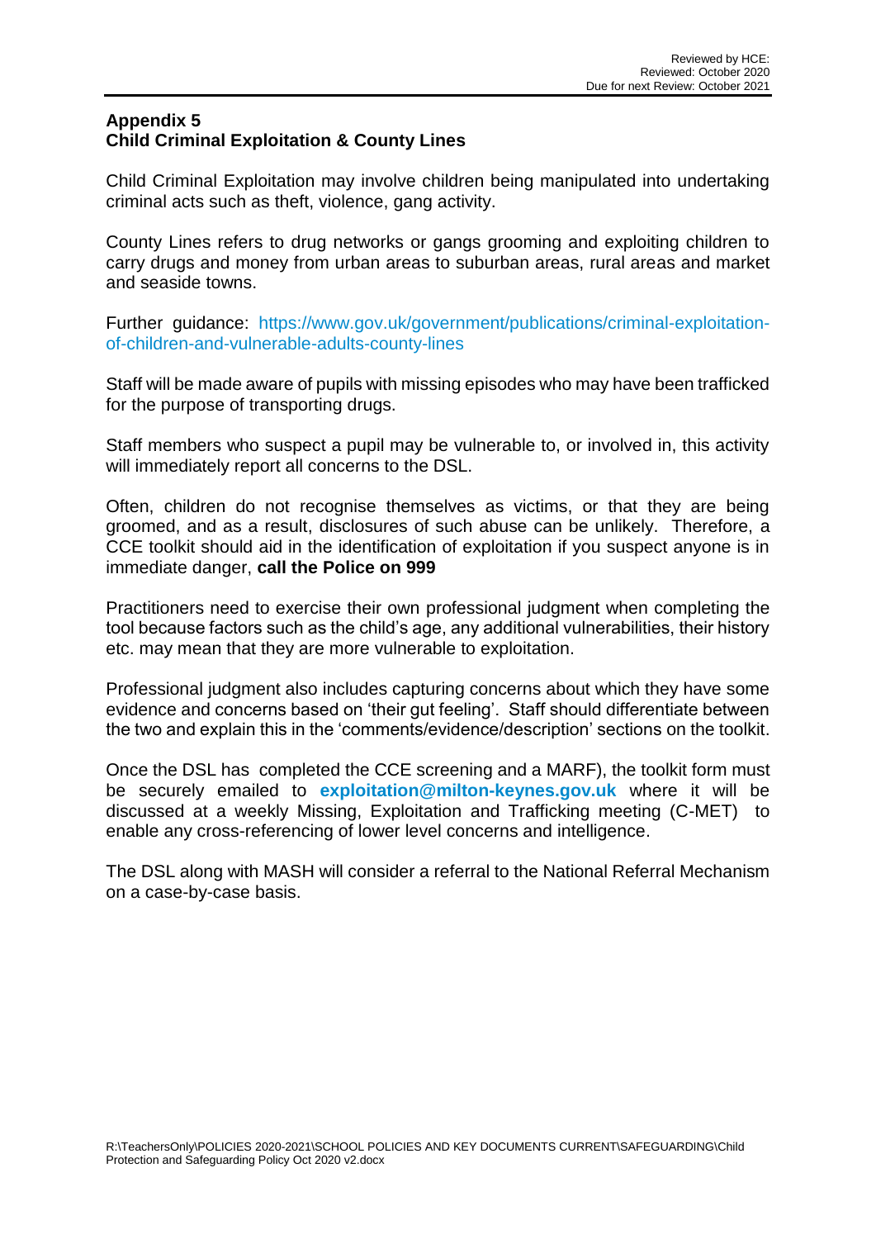# **Appendix 5 Child Criminal Exploitation & County Lines**

Child Criminal Exploitation may involve children being manipulated into undertaking criminal acts such as theft, violence, gang activity.

County Lines refers to drug networks or gangs grooming and exploiting children to carry drugs and money from urban areas to suburban areas, rural areas and market and seaside towns.

Further guidance: [https://www.gov.uk/government/publications/criminal-exploitation](https://www.gov.uk/government/publications/criminal-exploitation-of-children-and-vulnerable-adults-county-lines)[of-children-and-vulnerable-adults-county-lines](https://www.gov.uk/government/publications/criminal-exploitation-of-children-and-vulnerable-adults-county-lines)

Staff will be made aware of pupils with missing episodes who may have been trafficked for the purpose of transporting drugs.

Staff members who suspect a pupil may be vulnerable to, or involved in, this activity will immediately report all concerns to the DSL.

Often, children do not recognise themselves as victims, or that they are being groomed, and as a result, disclosures of such abuse can be unlikely. Therefore, a CCE toolkit should aid in the identification of exploitation if you suspect anyone is in immediate danger, **call the Police on 999**

Practitioners need to exercise their own professional judgment when completing the tool because factors such as the child's age, any additional vulnerabilities, their history etc. may mean that they are more vulnerable to exploitation.

Professional judgment also includes capturing concerns about which they have some evidence and concerns based on 'their gut feeling'. Staff should differentiate between the two and explain this in the 'comments/evidence/description' sections on the toolkit.

Once the DSL has completed the CCE screening and a MARF), the toolkit form must be securely emailed to **[exploitation@milton-keynes.gov.uk](mailto:exploitation@milton-keynes.gov.uk)** where it will be discussed at a weekly Missing, Exploitation and Trafficking meeting (C-MET) to enable any cross-referencing of lower level concerns and intelligence.

The DSL along with MASH will consider a referral to the National Referral Mechanism on a case-by-case basis.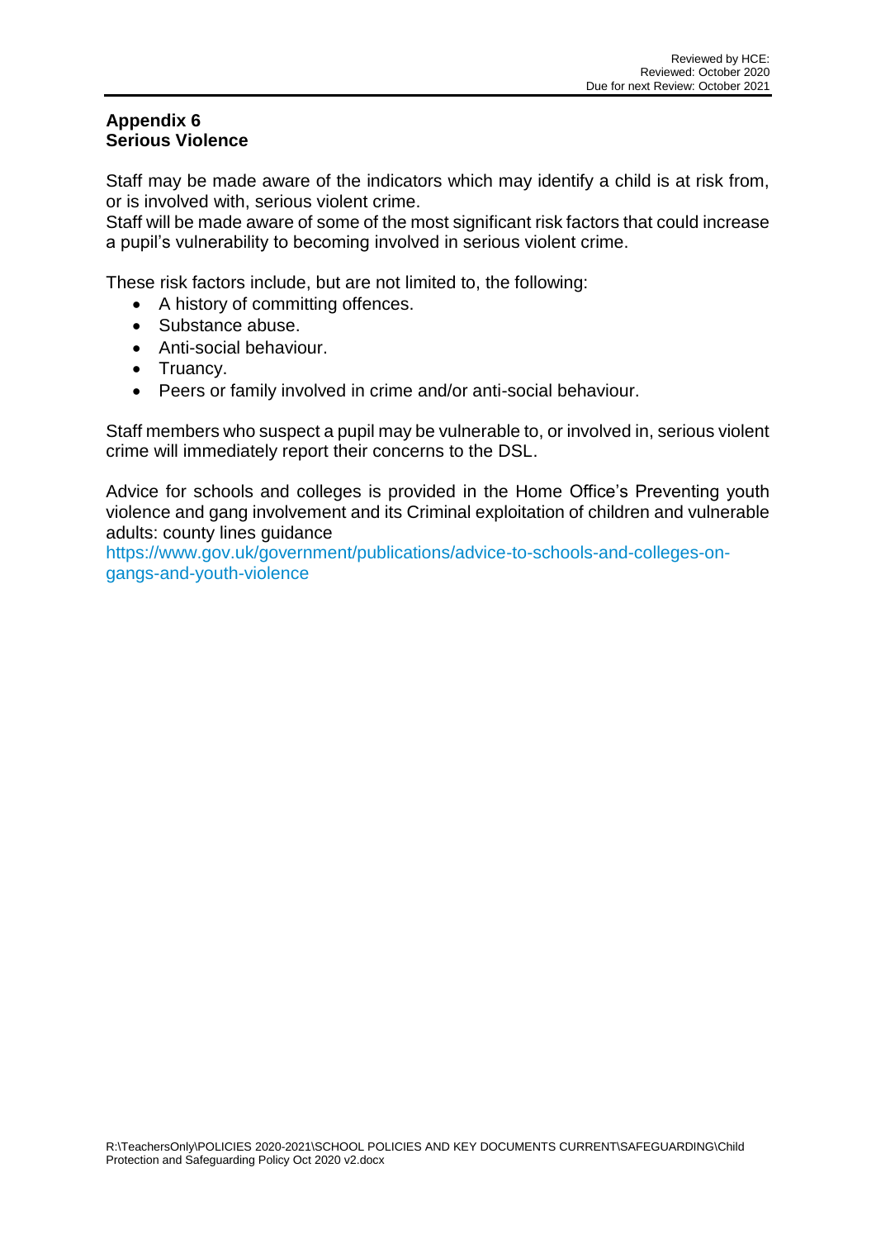# **Appendix 6 Serious Violence**

Staff may be made aware of the indicators which may identify a child is at risk from, or is involved with, serious violent crime.

Staff will be made aware of some of the most significant risk factors that could increase a pupil's vulnerability to becoming involved in serious violent crime.

These risk factors include, but are not limited to, the following:

- A history of committing offences.
- Substance abuse.
- Anti-social behaviour.
- Truancy.
- Peers or family involved in crime and/or anti-social behaviour.

Staff members who suspect a pupil may be vulnerable to, or involved in, serious violent crime will immediately report their concerns to the DSL.

Advice for schools and colleges is provided in the Home Office's Preventing youth violence and gang involvement and its Criminal exploitation of children and vulnerable adults: county lines guidance

[https://www.gov.uk/government/publications/advice-to-schools-and-colleges-on](https://www.gov.uk/government/publications/advice-to-schools-and-colleges-on-gangs-and-youth-violence)[gangs-and-youth-violence](https://www.gov.uk/government/publications/advice-to-schools-and-colleges-on-gangs-and-youth-violence)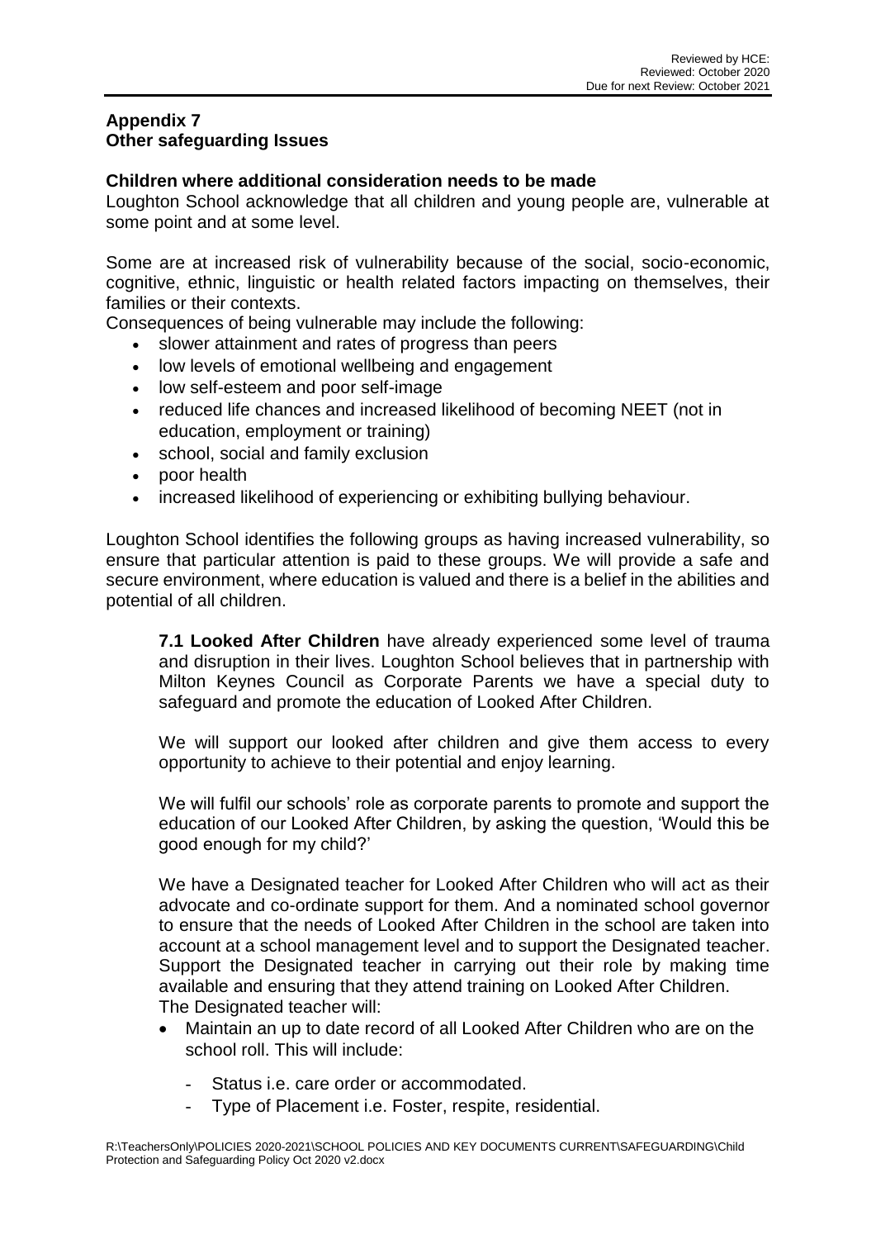#### **Appendix 7 Other safeguarding Issues**

#### **Children where additional consideration needs to be made**

Loughton School acknowledge that all children and young people are, vulnerable at some point and at some level.

Some are at increased risk of vulnerability because of the social, socio-economic, cognitive, ethnic, linguistic or health related factors impacting on themselves, their families or their contexts.

Consequences of being vulnerable may include the following:

- slower attainment and rates of progress than peers
- low levels of emotional wellbeing and engagement
- low self-esteem and poor self-image
- reduced life chances and increased likelihood of becoming NEET (not in education, employment or training)
- school, social and family exclusion
- poor health
- increased likelihood of experiencing or exhibiting bullying behaviour.

Loughton School identifies the following groups as having increased vulnerability, so ensure that particular attention is paid to these groups. We will provide a safe and secure environment, where education is valued and there is a belief in the abilities and potential of all children.

**7.1 Looked After Children** have already experienced some level of trauma and disruption in their lives. Loughton School believes that in partnership with Milton Keynes Council as Corporate Parents we have a special duty to safeguard and promote the education of Looked After Children.

We will support our looked after children and give them access to every opportunity to achieve to their potential and enjoy learning.

We will fulfil our schools' role as corporate parents to promote and support the education of our Looked After Children, by asking the question, 'Would this be good enough for my child?'

We have a Designated teacher for Looked After Children who will act as their advocate and co-ordinate support for them. And a nominated school governor to ensure that the needs of Looked After Children in the school are taken into account at a school management level and to support the Designated teacher. Support the Designated teacher in carrying out their role by making time available and ensuring that they attend training on Looked After Children. The Designated teacher will:

- Maintain an up to date record of all Looked After Children who are on the school roll. This will include:
	- Status i.e. care order or accommodated.
	- Type of Placement i.e. Foster, respite, residential.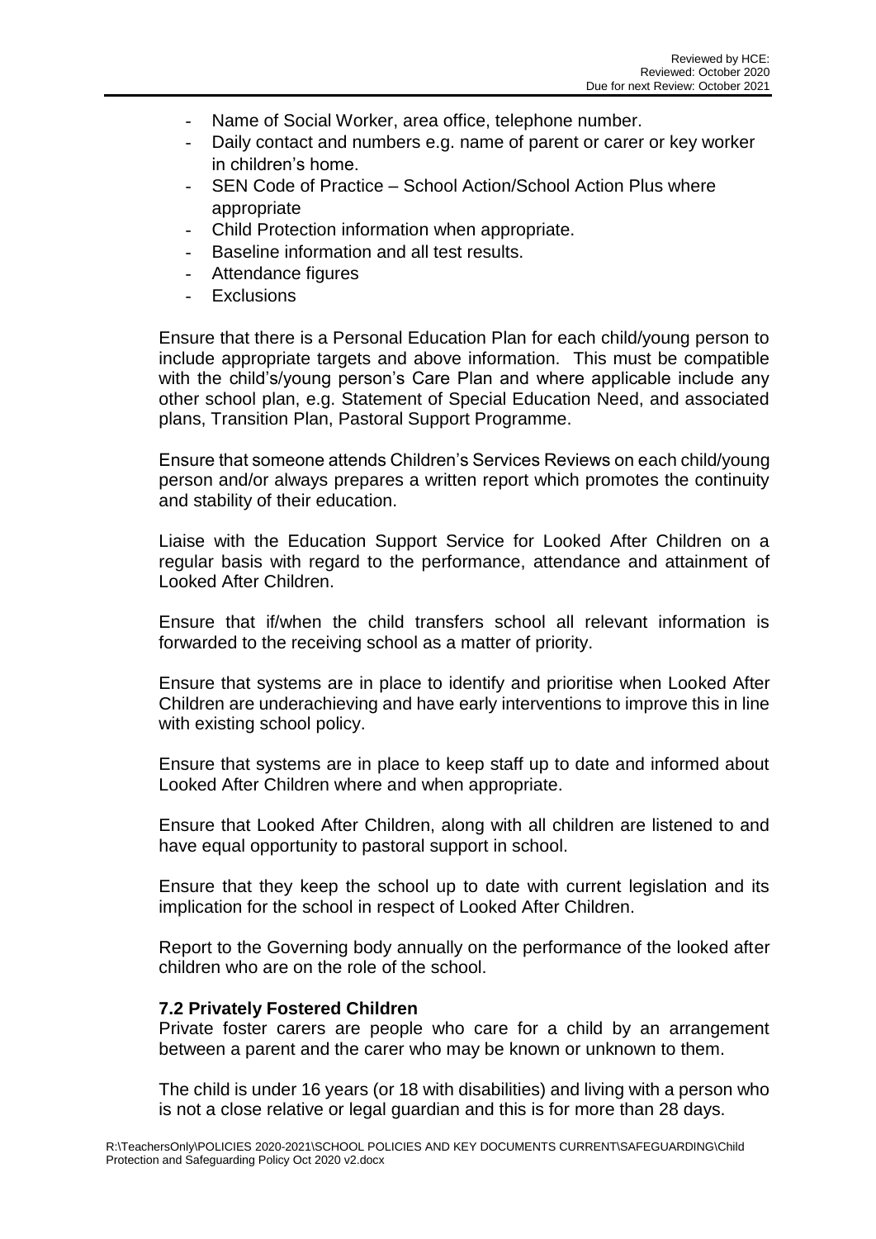- Name of Social Worker, area office, telephone number.
- Daily contact and numbers e.g. name of parent or carer or key worker in children's home.
- SEN Code of Practice School Action/School Action Plus where appropriate
- Child Protection information when appropriate.
- Baseline information and all test results.
- Attendance figures
- **Exclusions**

Ensure that there is a Personal Education Plan for each child/young person to include appropriate targets and above information. This must be compatible with the child's/young person's Care Plan and where applicable include any other school plan, e.g. Statement of Special Education Need, and associated plans, Transition Plan, Pastoral Support Programme.

Ensure that someone attends Children's Services Reviews on each child/young person and/or always prepares a written report which promotes the continuity and stability of their education.

Liaise with the Education Support Service for Looked After Children on a regular basis with regard to the performance, attendance and attainment of Looked After Children.

Ensure that if/when the child transfers school all relevant information is forwarded to the receiving school as a matter of priority.

Ensure that systems are in place to identify and prioritise when Looked After Children are underachieving and have early interventions to improve this in line with existing school policy.

Ensure that systems are in place to keep staff up to date and informed about Looked After Children where and when appropriate.

Ensure that Looked After Children, along with all children are listened to and have equal opportunity to pastoral support in school.

Ensure that they keep the school up to date with current legislation and its implication for the school in respect of Looked After Children.

Report to the Governing body annually on the performance of the looked after children who are on the role of the school.

#### **7.2 Privately Fostered Children**

Private foster carers are people who care for a child by an arrangement between a parent and the carer who may be known or unknown to them.

The child is under 16 years (or 18 with disabilities) and living with a person who is not a close relative or legal guardian and this is for more than 28 days.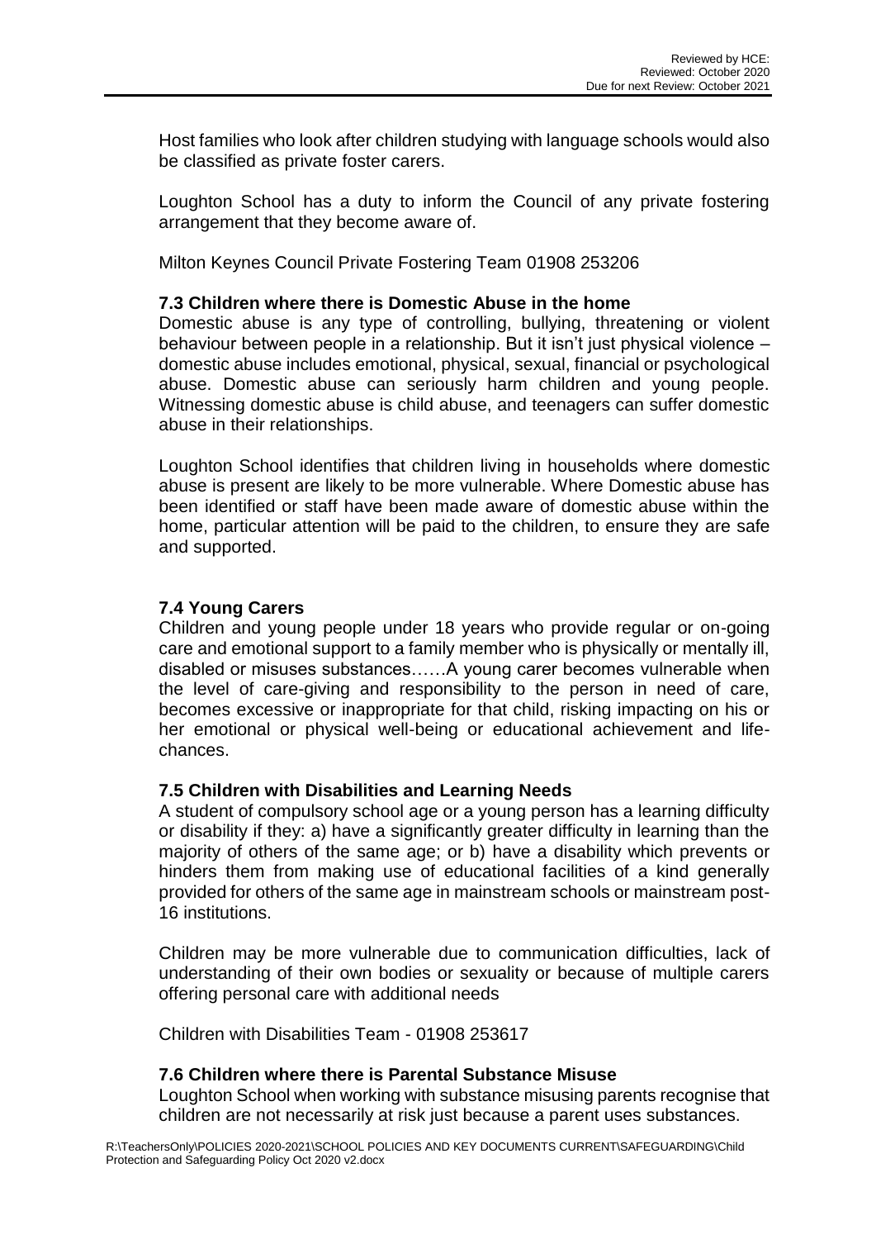Host families who look after children studying with language schools would also be classified as private foster carers.

Loughton School has a duty to inform the Council of any private fostering arrangement that they become aware of.

Milton Keynes Council Private Fostering Team 01908 253206

#### **7.3 Children where there is Domestic Abuse in the home**

Domestic abuse is any type of controlling, bullying, threatening or violent behaviour between people in a relationship. But it isn't just physical violence – domestic abuse includes emotional, physical, sexual, financial or psychological abuse. Domestic abuse can seriously harm children and young people. Witnessing domestic abuse is child abuse, and teenagers can suffer domestic abuse in their relationships.

Loughton School identifies that children living in households where domestic abuse is present are likely to be more vulnerable. Where Domestic abuse has been identified or staff have been made aware of domestic abuse within the home, particular attention will be paid to the children, to ensure they are safe and supported.

#### **7.4 Young Carers**

Children and young people under 18 years who provide regular or on-going care and emotional support to a family member who is physically or mentally ill, disabled or misuses substances……A young carer becomes vulnerable when the level of care-giving and responsibility to the person in need of care, becomes excessive or inappropriate for that child, risking impacting on his or her emotional or physical well-being or educational achievement and lifechances.

#### **7.5 Children with Disabilities and Learning Needs**

A student of compulsory school age or a young person has a learning difficulty or disability if they: a) have a significantly greater difficulty in learning than the majority of others of the same age; or b) have a disability which prevents or hinders them from making use of educational facilities of a kind generally provided for others of the same age in mainstream schools or mainstream post-16 institutions.

Children may be more vulnerable due to communication difficulties, lack of understanding of their own bodies or sexuality or because of multiple carers offering personal care with additional needs

Children with Disabilities Team - 01908 253617

#### **7.6 Children where there is Parental Substance Misuse**

Loughton School when working with substance misusing parents recognise that children are not necessarily at risk just because a parent uses substances.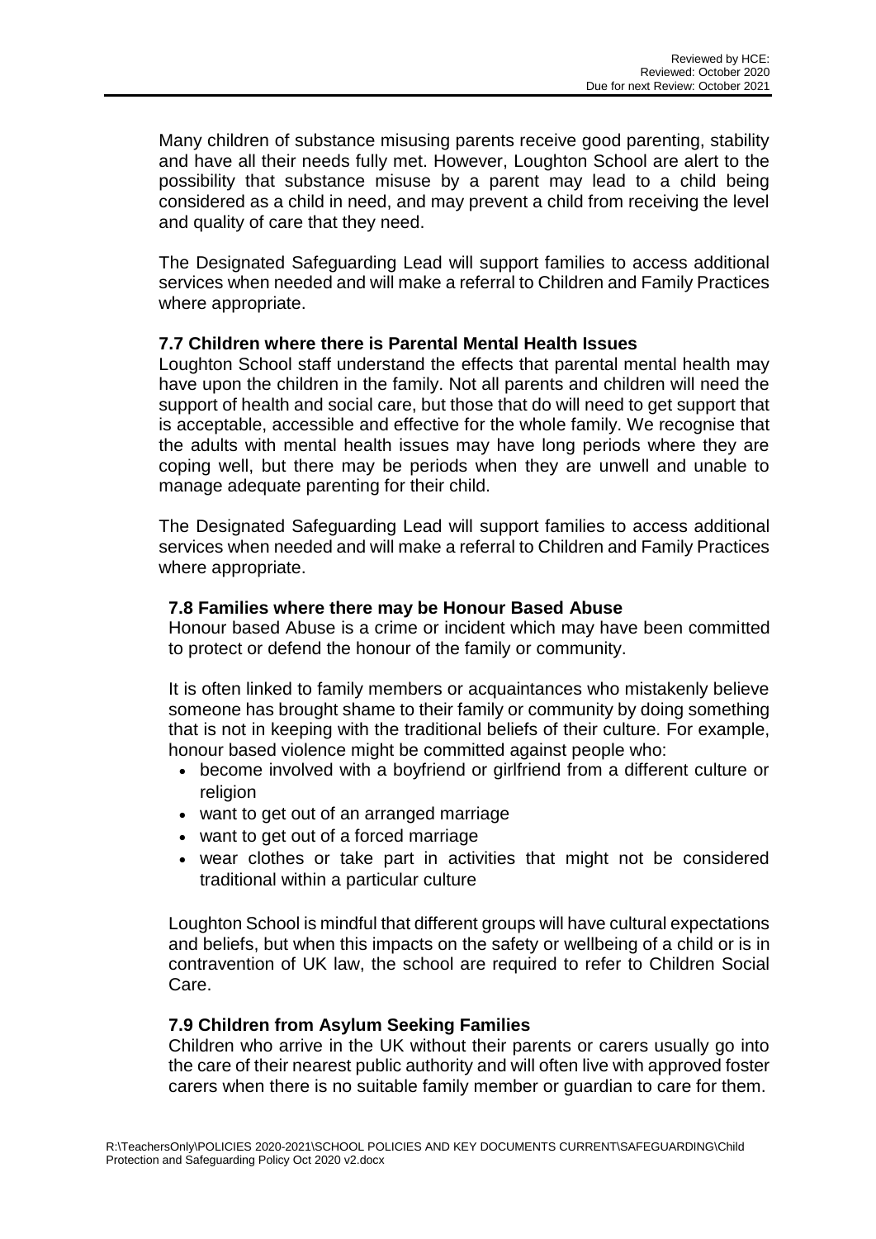Many children of substance misusing parents receive good parenting, stability and have all their needs fully met. However, Loughton School are alert to the possibility that substance misuse by a parent may lead to a child being considered as a child in need, and may prevent a child from receiving the level and quality of care that they need.

The Designated Safeguarding Lead will support families to access additional services when needed and will make a referral to Children and Family Practices where appropriate.

#### **7.7 Children where there is Parental Mental Health Issues**

Loughton School staff understand the effects that parental mental health may have upon the children in the family. Not all parents and children will need the support of health and social care, but those that do will need to get support that is acceptable, accessible and effective for the whole family. We recognise that the adults with mental health issues may have long periods where they are coping well, but there may be periods when they are unwell and unable to manage adequate parenting for their child.

The Designated Safeguarding Lead will support families to access additional services when needed and will make a referral to Children and Family Practices where appropriate.

#### **7.8 Families where there may be Honour Based Abuse**

Honour based Abuse is a crime or incident which may have been committed to protect or defend the honour of the family or community.

It is often linked to family members or acquaintances who mistakenly believe someone has brought shame to their family or community by doing something that is not in keeping with the traditional beliefs of their culture. For example, honour based violence might be committed against people who:

- become involved with a boyfriend or girlfriend from a different culture or religion
- want to get out of an arranged marriage
- want to get out of a forced marriage
- wear clothes or take part in activities that might not be considered traditional within a particular culture

Loughton School is mindful that different groups will have cultural expectations and beliefs, but when this impacts on the safety or wellbeing of a child or is in contravention of UK law, the school are required to refer to Children Social Care.

# **7.9 Children from Asylum Seeking Families**

Children who arrive in the UK without their parents or carers usually go into the care of their nearest public authority and will often live with approved foster carers when there is no suitable family member or guardian to care for them.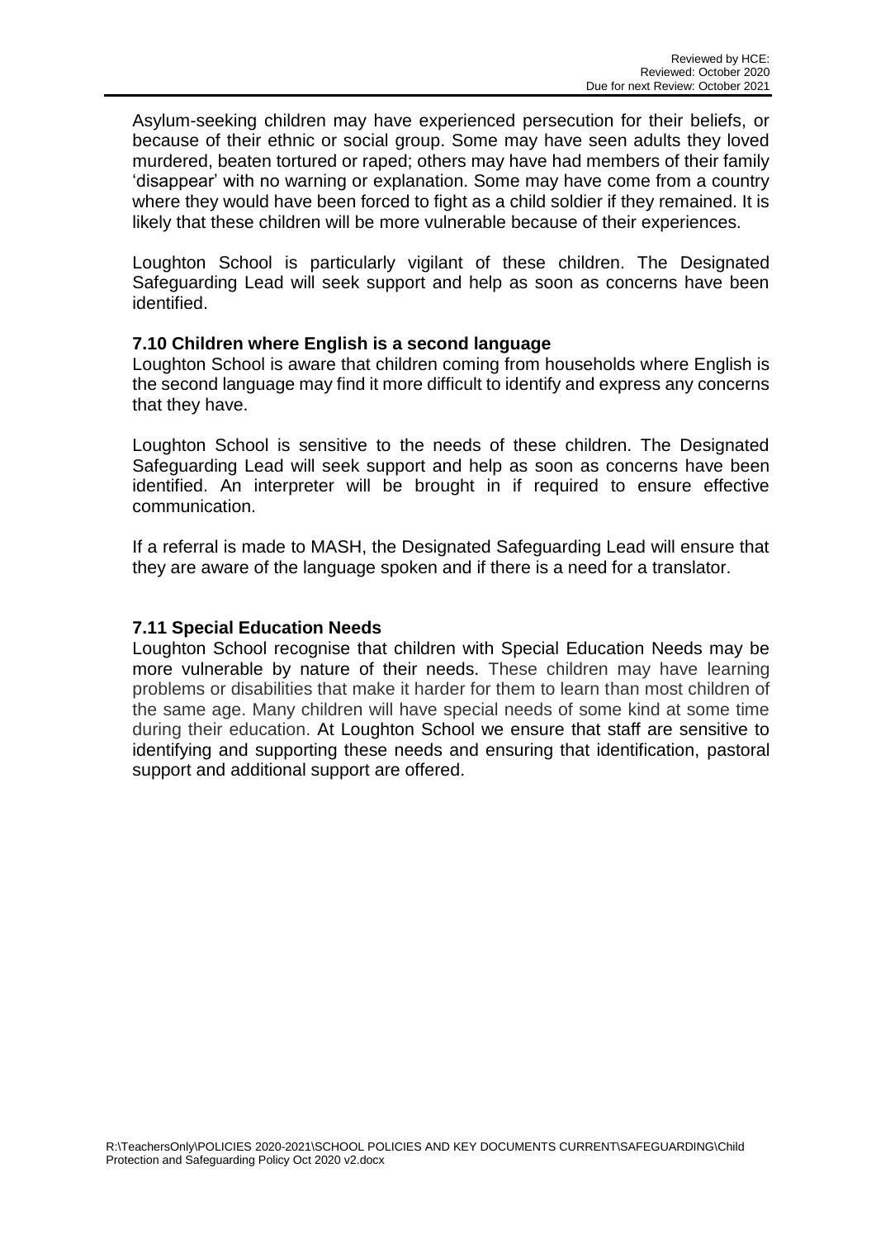Asylum-seeking children may have experienced persecution for their beliefs, or because of their ethnic or social group. Some may have seen adults they loved murdered, beaten tortured or raped; others may have had members of their family 'disappear' with no warning or explanation. Some may have come from a country where they would have been forced to fight as a child soldier if they remained. It is likely that these children will be more vulnerable because of their experiences.

Loughton School is particularly vigilant of these children. The Designated Safeguarding Lead will seek support and help as soon as concerns have been identified.

#### **7.10 Children where English is a second language**

Loughton School is aware that children coming from households where English is the second language may find it more difficult to identify and express any concerns that they have.

Loughton School is sensitive to the needs of these children. The Designated Safeguarding Lead will seek support and help as soon as concerns have been identified. An interpreter will be brought in if required to ensure effective communication.

If a referral is made to MASH, the Designated Safeguarding Lead will ensure that they are aware of the language spoken and if there is a need for a translator.

#### **7.11 Special Education Needs**

Loughton School recognise that children with Special Education Needs may be more vulnerable by nature of their needs. These children may have learning problems or disabilities that make it harder for them to learn than most children of the same age. Many children will have special needs of some kind at some time during their education. At Loughton School we ensure that staff are sensitive to identifying and supporting these needs and ensuring that identification, pastoral support and additional support are offered.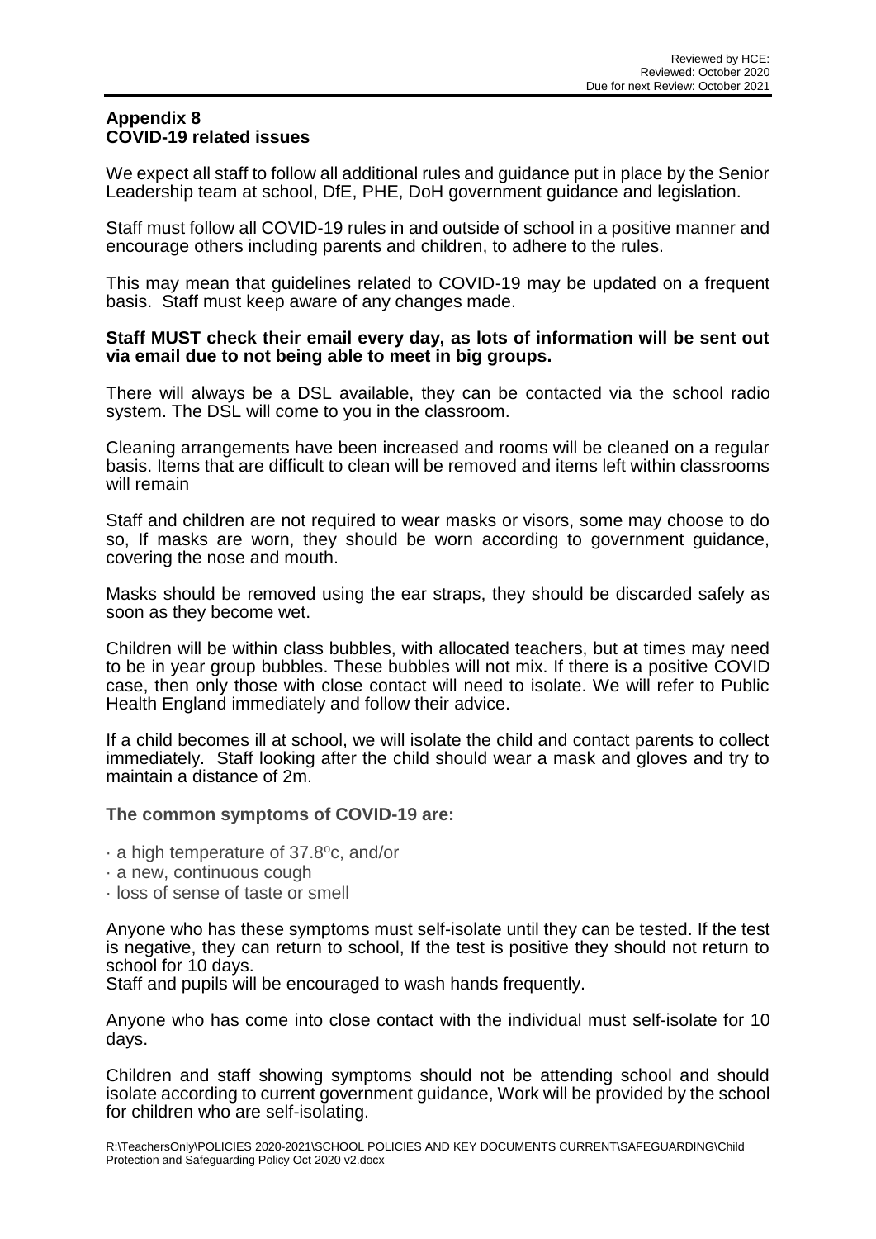#### **Appendix 8 COVID-19 related issues**

We expect all staff to follow all additional rules and guidance put in place by the Senior Leadership team at school, DfE, PHE, DoH government guidance and legislation.

Staff must follow all COVID-19 rules in and outside of school in a positive manner and encourage others including parents and children, to adhere to the rules.

This may mean that guidelines related to COVID-19 may be updated on a frequent basis. Staff must keep aware of any changes made.

#### **Staff MUST check their email every day, as lots of information will be sent out via email due to not being able to meet in big groups.**

There will always be a DSL available, they can be contacted via the school radio system. The DSL will come to you in the classroom.

Cleaning arrangements have been increased and rooms will be cleaned on a regular basis. Items that are difficult to clean will be removed and items left within classrooms will remain

Staff and children are not required to wear masks or visors, some may choose to do so, If masks are worn, they should be worn according to government guidance, covering the nose and mouth.

Masks should be removed using the ear straps, they should be discarded safely as soon as they become wet.

Children will be within class bubbles, with allocated teachers, but at times may need to be in year group bubbles. These bubbles will not mix. If there is a positive COVID case, then only those with close contact will need to isolate. We will refer to Public Health England immediately and follow their advice.

If a child becomes ill at school, we will isolate the child and contact parents to collect immediately. Staff looking after the child should wear a mask and gloves and try to maintain a distance of 2m.

#### **The common symptoms of COVID-19 are:**

- · a high temperature of 37.8<sup>o</sup>c, and/or
- · a new, continuous cough
- · loss of sense of taste or smell

Anyone who has these symptoms must self-isolate until they can be tested. If the test is negative, they can return to school, If the test is positive they should not return to school for 10 days.

Staff and pupils will be encouraged to wash hands frequently.

Anyone who has come into close contact with the individual must self-isolate for 10 days.

Children and staff showing symptoms should not be attending school and should isolate according to current government guidance, Work will be provided by the school for children who are self-isolating.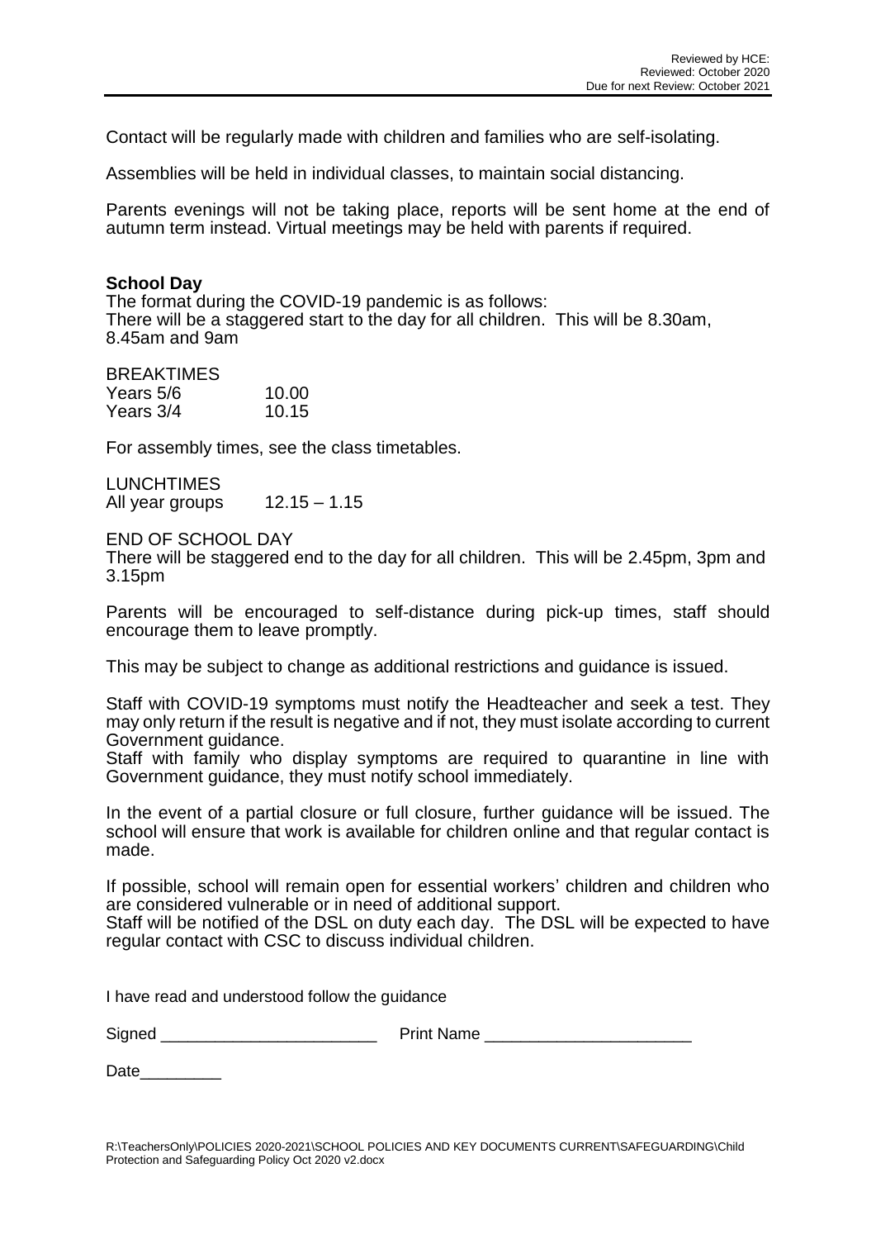Contact will be regularly made with children and families who are self-isolating.

Assemblies will be held in individual classes, to maintain social distancing.

Parents evenings will not be taking place, reports will be sent home at the end of autumn term instead. Virtual meetings may be held with parents if required.

#### **School Day**

The format during the COVID-19 pandemic is as follows: There will be a staggered start to the day for all children. This will be 8.30am, 8.45am and 9am

| <b>BREAKTIMES</b> |       |
|-------------------|-------|
| Years 5/6         | 10.00 |
| Years 3/4         | 10.15 |

For assembly times, see the class timetables.

LUNCHTIMES All year groups 12.15 – 1.15

END OF SCHOOL DAY

There will be staggered end to the day for all children. This will be 2.45pm, 3pm and 3.15pm

Parents will be encouraged to self-distance during pick-up times, staff should encourage them to leave promptly.

This may be subject to change as additional restrictions and guidance is issued.

Staff with COVID-19 symptoms must notify the Headteacher and seek a test. They may only return if the result is negative and if not, they must isolate according to current Government quidance.

Staff with family who display symptoms are required to quarantine in line with Government guidance, they must notify school immediately.

In the event of a partial closure or full closure, further guidance will be issued. The school will ensure that work is available for children online and that regular contact is made.

If possible, school will remain open for essential workers' children and children who are considered vulnerable or in need of additional support.

Staff will be notified of the DSL on duty each day. The DSL will be expected to have regular contact with CSC to discuss individual children.

I have read and understood follow the guidance

Signed **Signed Example 2.1 Signed Print Name Print Name** 

Date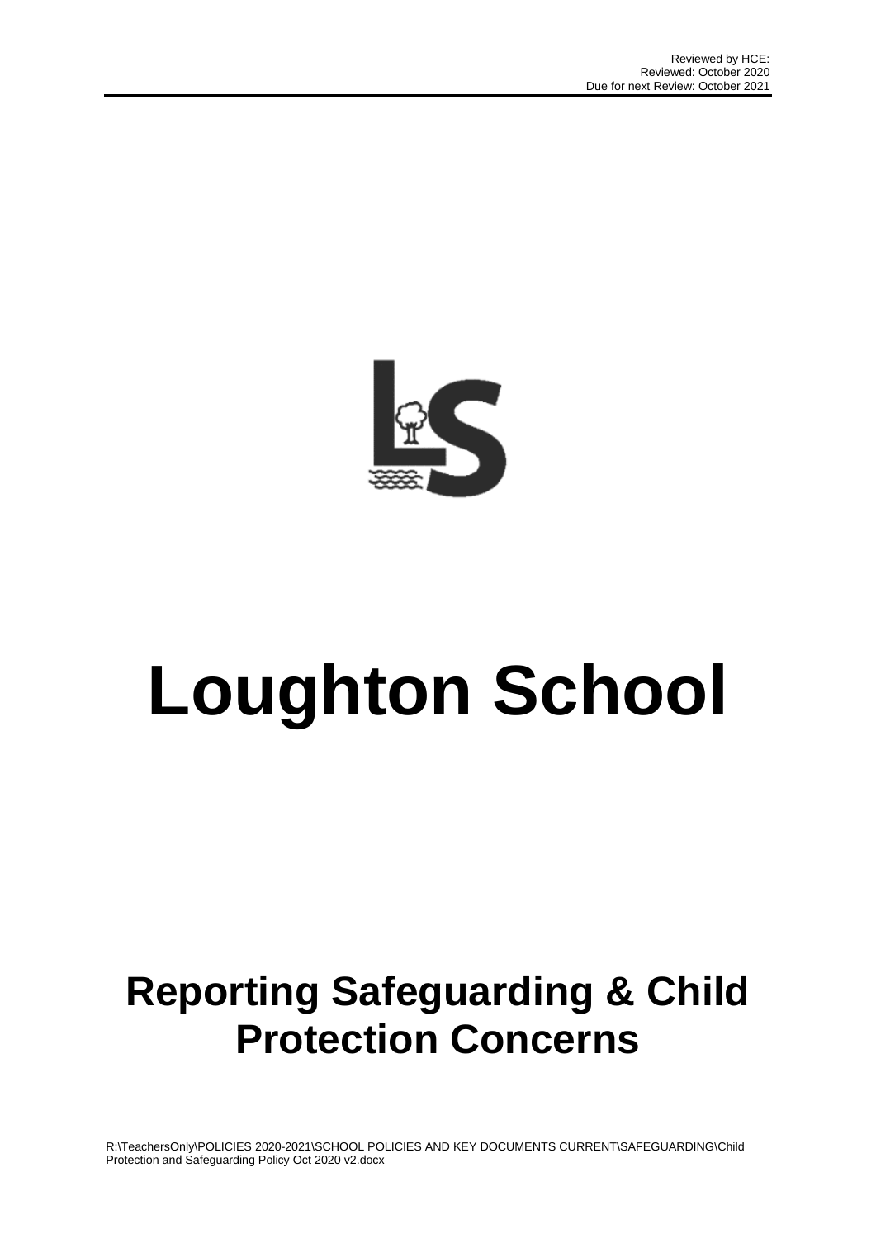

# **Loughton School**

# **Reporting Safeguarding & Child Protection Concerns**

R:\TeachersOnly\POLICIES 2020-2021\SCHOOL POLICIES AND KEY DOCUMENTS CURRENT\SAFEGUARDING\Child Protection and Safeguarding Policy Oct 2020 v2.docx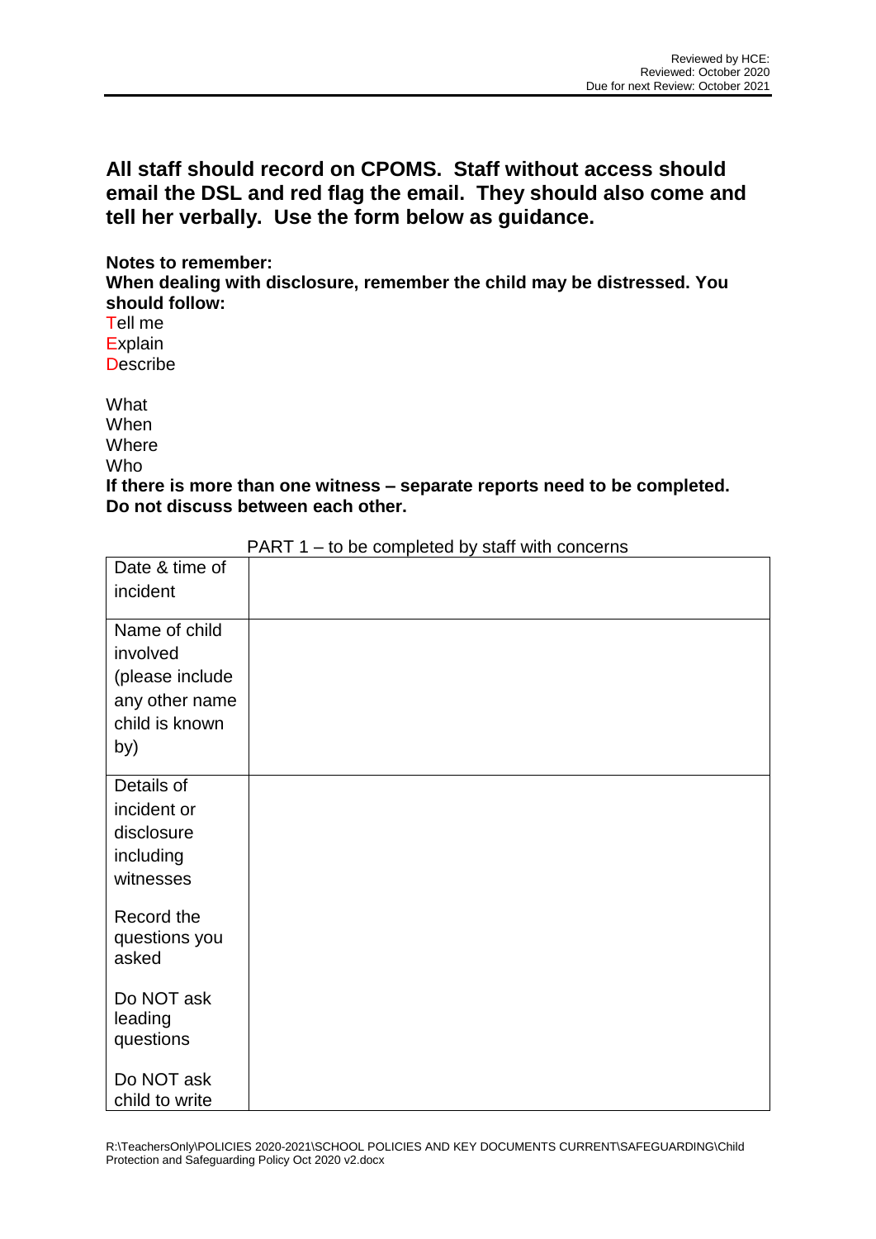# **All staff should record on CPOMS. Staff without access should email the DSL and red flag the email. They should also come and tell her verbally. Use the form below as guidance.**

**Notes to remember: When dealing with disclosure, remember the child may be distressed. You should follow:**

Tell me **Explain Describe** 

What When **Where** Who **If there is more than one witness – separate reports need to be completed. Do not discuss between each other.**

|                 | $FAT + FUDE$ Completed by Starf with concerns |
|-----------------|-----------------------------------------------|
| Date & time of  |                                               |
| incident        |                                               |
| Name of child   |                                               |
| involved        |                                               |
| (please include |                                               |
| any other name  |                                               |
| child is known  |                                               |
| by)             |                                               |
| Details of      |                                               |
| incident or     |                                               |
| disclosure      |                                               |
| including       |                                               |
| witnesses       |                                               |
| Record the      |                                               |
| questions you   |                                               |
| asked           |                                               |
| Do NOT ask      |                                               |
| leading         |                                               |
| questions       |                                               |
| Do NOT ask      |                                               |
| child to write  |                                               |

PART 1 – to be completed by staff with concerns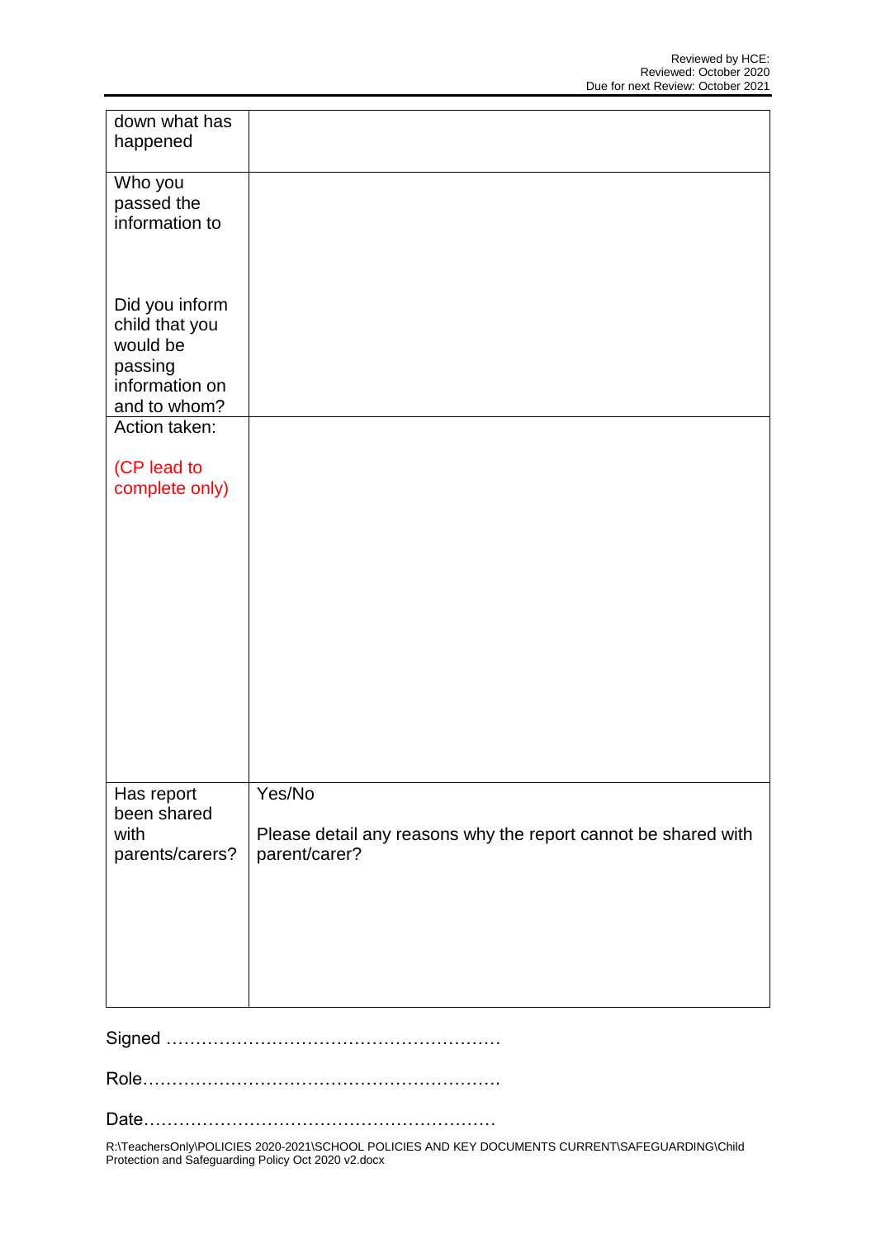| down what has<br>happened                                                                 |                                                                                           |
|-------------------------------------------------------------------------------------------|-------------------------------------------------------------------------------------------|
| Who you<br>passed the<br>information to                                                   |                                                                                           |
| Did you inform<br>child that you<br>would be<br>passing<br>information on<br>and to whom? |                                                                                           |
| Action taken:                                                                             |                                                                                           |
| (CP lead to<br>complete only)                                                             |                                                                                           |
|                                                                                           |                                                                                           |
| Has report<br>been shared<br>with<br>parents/carers?                                      | Yes/No<br>Please detail any reasons why the report cannot be shared with<br>parent/carer? |

Signed …………………………………………………

Role…………………………………………………….

Date……………………………………………………

R:\TeachersOnly\POLICIES 2020-2021\SCHOOL POLICIES AND KEY DOCUMENTS CURRENT\SAFEGUARDING\Child Protection and Safeguarding Policy Oct 2020 v2.docx